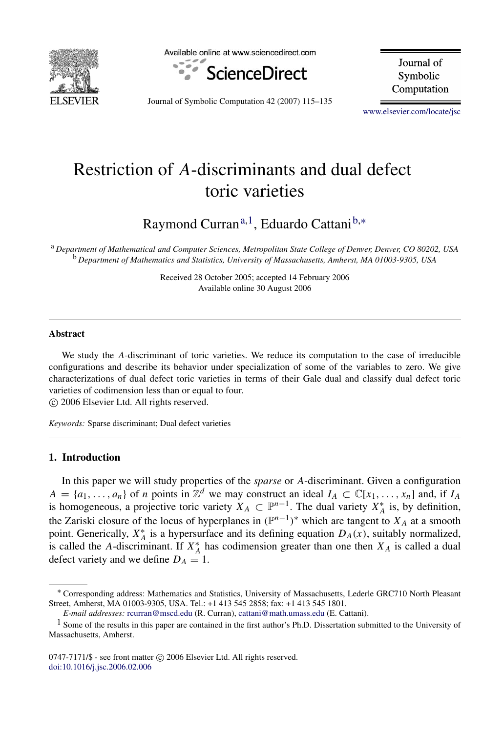

Available online at www.sciencedirect.com



Journal of Symbolic Computation

Journal of Symbolic Computation 42 (2007) 115–135

[www.elsevier.com/locate/jsc](http://www.elsevier.com/locate/jsc)

# Restriction of *A*-discriminants and dual defect toric varieties

Raymond Curran<sup>[a,](#page-0-0)[1](#page-0-1)</sup>, Eduardo Cattani<sup>[b,](#page-0-2)</sup>\*

<span id="page-0-2"></span><span id="page-0-0"></span><sup>a</sup> *Department of Mathematical and Computer Sciences, Metropolitan State College of Denver, Denver, CO 80202, USA* <sup>b</sup> *Department of Mathematics and Statistics, University of Massachusetts, Amherst, MA 01003-9305, USA*

> Received 28 October 2005; accepted 14 February 2006 Available online 30 August 2006

#### Abstract

We study the *A*-discriminant of toric varieties. We reduce its computation to the case of irreducible configurations and describe its behavior under specialization of some of the variables to zero. We give characterizations of dual defect toric varieties in terms of their Gale dual and classify dual defect toric varieties of codimension less than or equal to four.

c 2006 Elsevier Ltd. All rights reserved.

*Keywords:* Sparse discriminant; Dual defect varieties

## 1. Introduction

In this paper we will study properties of the *sparse* or *A*-discriminant. Given a configuration  $A = \{a_1, \ldots, a_n\}$  of *n* points in  $\mathbb{Z}^d$  we may construct an ideal  $I_A \subset \mathbb{C}[x_1, \ldots, x_n]$  and, if  $I_A$ is homogeneous, a projective toric variety  $X_A \subset \mathbb{P}^{n-1}$ . The dual variety  $X_A^*$  is, by definition, the Zariski closure of the locus of hyperplanes in  $(\mathbb{P}^{n-1})^*$  which are tangent to  $X_A$  at a smooth point. Generically,  $X_A^*$  is a hypersurface and its defining equation  $D_A(x)$ , suitably normalized, is called the *A*-discriminant. If  $X_A^*$  has codimension greater than one then  $X_A$  is called a dual defect variety and we define  $D_A = 1$ .

<span id="page-0-3"></span><sup>∗</sup> Corresponding address: Mathematics and Statistics, University of Massachusetts, Lederle GRC710 North Pleasant Street, Amherst, MA 01003-9305, USA. Tel.: +1 413 545 2858; fax: +1 413 545 1801.

<span id="page-0-1"></span>*E-mail addresses:* [rcurran@mscd.edu](mailto:rcurran@mscd.edu) (R. Curran), [cattani@math.umass.edu](mailto:cattani@math.umass.edu) (E. Cattani).

 $<sup>1</sup>$  Some of the results in this paper are contained in the first author's Ph.D. Dissertation submitted to the University of</sup> Massachusetts, Amherst.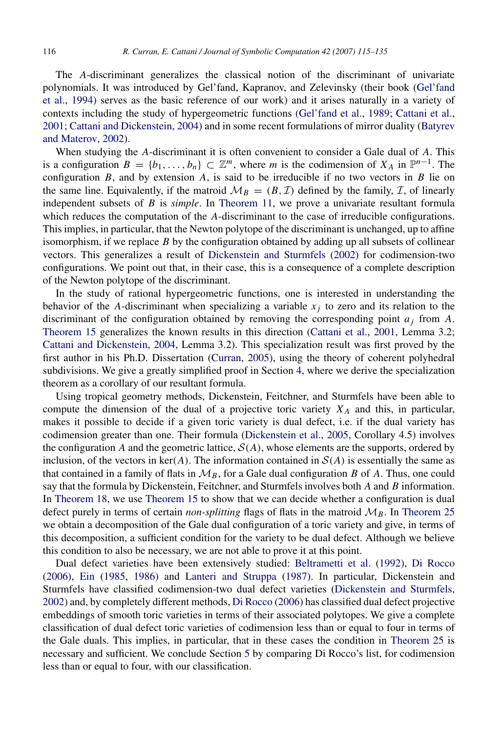The *A*-discriminant generalizes the classical notion of the discriminant of univariate polynomials. It was introduced by Gel'fand, Kapranov, and Zelevinsky (their book [\(Gel'fand](#page-20-0) [et al.,](#page-20-0) [1994\)](#page-20-0) serves as the basic reference of our work) and it arises naturally in a variety of contexts including the study of hypergeometric functions [\(Gel'fand et al.,](#page-20-1) [1989;](#page-20-1) [Cattani et al.,](#page-20-2) [2001;](#page-20-2) [Cattani and Dickenstein,](#page-20-3) [2004\)](#page-20-3) and in some recent formulations of mirror duality [\(Batyrev](#page-19-0) [and Materov,](#page-19-0) [2002\)](#page-19-0).

When studying the *A*-discriminant it is often convenient to consider a Gale dual of *A*. This is a configuration  $B = \{b_1, \ldots, b_n\} \subset \mathbb{Z}^m$ , where *m* is the codimension of  $X_A$  in  $\mathbb{P}^{n-1}$ . The configuration  $B$ , and by extension  $A$ , is said to be irreducible if no two vectors in  $B$  lie on the same line. Equivalently, if the matroid  $\mathcal{M}_B = (B, \mathcal{I})$  defined by the family,  $\mathcal{I}$ , of linearly independent subsets of *B* is *simple*. In [Theorem](#page-7-0) [11,](#page-7-0) we prove a univariate resultant formula which reduces the computation of the *A*-discriminant to the case of irreducible configurations. This implies, in particular, that the Newton polytope of the discriminant is unchanged, up to affine isomorphism, if we replace *B* by the configuration obtained by adding up all subsets of collinear vectors. This generalizes a result of [Dickenstein and Sturmfels](#page-20-4) [\(2002\)](#page-20-4) for codimension-two configurations. We point out that, in their case, this is a consequence of a complete description of the Newton polytope of the discriminant.

In the study of rational hypergeometric functions, one is interested in understanding the behavior of the *A*-discriminant when specializing a variable  $x_j$  to zero and its relation to the discriminant of the configuration obtained by removing the corresponding point  $a_i$  from  $A$ . [Theorem](#page-11-0) [15](#page-11-0) generalizes the known results in this direction [\(Cattani et al.,](#page-20-2) [2001,](#page-20-2) Lemma 3.2; [Cattani and Dickenstein,](#page-20-3) [2004,](#page-20-3) Lemma 3.2). This specialization result was first proved by the first author in his Ph.D. Dissertation [\(Curran,](#page-20-5) [2005\)](#page-20-5), using the theory of coherent polyhedral subdivisions. We give a greatly simplified proof in Section [4,](#page-10-0) where we derive the specialization theorem as a corollary of our resultant formula.

Using tropical geometry methods, Dickenstein, Feitchner, and Sturmfels have been able to compute the dimension of the dual of a projective toric variety  $X_A$  and this, in particular, makes it possible to decide if a given toric variety is dual defect, i.e. if the dual variety has codimension greater than one. Their formula [\(Dickenstein et al.,](#page-20-6) [2005,](#page-20-6) Corollary 4.5) involves the configuration *A* and the geometric lattice,  $S(A)$ , whose elements are the supports, ordered by inclusion, of the vectors in ker(*A*). The information contained in  $\mathcal{S}(A)$  is essentially the same as that contained in a family of flats in  $\mathcal{M}_B$ , for a Gale dual configuration *B* of *A*. Thus, one could say that the formula by Dickenstein, Feitchner, and Sturmfels involves both *A* and *B* information. In [Theorem](#page-13-0) [18,](#page-13-0) we use [Theorem](#page-11-0) [15](#page-11-0) to show that we can decide whether a configuration is dual defect purely in terms of certain *non-splitting* flags of flats in the matroid  $\mathcal{M}_B$ . In [Theorem](#page-16-0) [25](#page-16-0) we obtain a decomposition of the Gale dual configuration of a toric variety and give, in terms of this decomposition, a sufficient condition for the variety to be dual defect. Although we believe this condition to also be necessary, we are not able to prove it at this point.

Dual defect varieties have been extensively studied: [Beltrametti et al.](#page-19-1) [\(1992\)](#page-19-1), [Di Rocco](#page-20-7) [\(2006\)](#page-20-7), [Ein](#page-20-8) [\(1985,](#page-20-8) [1986\)](#page-20-9) and [Lanteri and Struppa](#page-20-10) [\(1987\)](#page-20-10). In particular, Dickenstein and Sturmfels have classified codimension-two dual defect varieties [\(Dickenstein and Sturmfels,](#page-20-4) [2002\)](#page-20-4) and, by completely different methods, [Di Rocco](#page-20-7) [\(2006\)](#page-20-7) has classified dual defect projective embeddings of smooth toric varieties in terms of their associated polytopes. We give a complete classification of dual defect toric varieties of codimension less than or equal to four in terms of the Gale duals. This implies, in particular, that in these cases the condition in [Theorem](#page-16-0) [25](#page-16-0) is necessary and sufficient. We conclude Section [5](#page-12-0) by comparing Di Rocco's list, for codimension less than or equal to four, with our classification.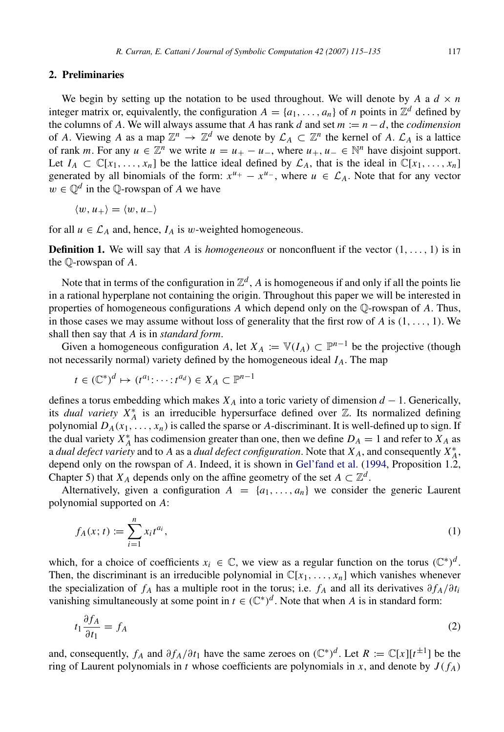## 2. Preliminaries

We begin by setting up the notation to be used throughout. We will denote by *A* a  $d \times n$ integer matrix or, equivalently, the configuration  $A = \{a_1, \ldots, a_n\}$  of *n* points in  $\mathbb{Z}^d$  defined by the columns of *A*. We will always assume that *A* has rank *d* and set  $m := n - d$ , the *codimension* of *A*. Viewing *A* as a map  $\mathbb{Z}^n \to \mathbb{Z}^d$  we denote by  $\mathcal{L}_A \subset \mathbb{Z}^n$  the kernel of *A*.  $\mathcal{L}_A$  is a lattice of rank *m*. For any  $u \in \mathbb{Z}^n$  we write  $u = u_+ - u_-,$  where  $u_+, u_- \in \mathbb{N}^n$  have disjoint support. Let  $I_A \subset \mathbb{C}[x_1, \ldots, x_n]$  be the lattice ideal defined by  $\mathcal{L}_A$ , that is the ideal in  $\mathbb{C}[x_1, \ldots, x_n]$ generated by all binomials of the form:  $x^{u_+} - x^{u_-}$ , where  $u \in \mathcal{L}_A$ . Note that for any vector  $w \in \mathbb{Q}^d$  in the  $\mathbb{Q}$ -rowspan of *A* we have

$$
\langle w, u_+ \rangle = \langle w, u_- \rangle
$$

for all  $u \in \mathcal{L}_A$  and, hence,  $I_A$  is w-weighted homogeneous.

**Definition 1.** We will say that *A* is *homogeneous* or nonconfluent if the vector  $(1, \ldots, 1)$  is in the Q-rowspan of *A*.

Note that in terms of the configuration in  $\mathbb{Z}^d$ , A is homogeneous if and only if all the points lie in a rational hyperplane not containing the origin. Throughout this paper we will be interested in properties of homogeneous configurations *A* which depend only on the Q-rowspan of *A*. Thus, in those cases we may assume without loss of generality that the first row of *A* is (1, . . . , 1). We shall then say that *A* is in *standard form*.

Given a homogeneous configuration *A*, let  $X_A := \mathbb{V}(I_A) \subset \mathbb{P}^{n-1}$  be the projective (though not necessarily normal) variety defined by the homogeneous ideal *IA*. The map

$$
t \in (\mathbb{C}^*)^d \mapsto (t^{a_1} : \cdots : t^{a_d}) \in X_A \subset \mathbb{P}^{n-1}
$$

defines a torus embedding which makes *X<sup>A</sup>* into a toric variety of dimension *d* − 1. Generically, its *dual variety*  $X_A^*$  is an irreducible hypersurface defined over  $\mathbb{Z}$ . Its normalized defining polynomial  $D_A(x_1, \ldots, x_n)$  is called the sparse or *A*-discriminant. It is well-defined up to sign. If the dual variety  $X_A^*$  has codimension greater than one, then we define  $D_A = 1$  and refer to  $X_A$  as a *dual defect variety* and to *A* as a *dual defect configuration*. Note that  $X_A$ , and consequently  $X_A^*$ , depend only on the rowspan of *A*. Indeed, it is shown in [Gel'fand et al.](#page-20-0) [\(1994,](#page-20-0) Proposition 1.2, Chapter 5) that *X<sub>A</sub>* depends only on the affine geometry of the set  $A \subset \mathbb{Z}^d$ .

Alternatively, given a configuration  $A = \{a_1, \ldots, a_n\}$  we consider the generic Laurent polynomial supported on *A*:

$$
f_A(x;t) := \sum_{i=1}^n x_i t^{a_i},\tag{1}
$$

which, for a choice of coefficients  $x_i \in \mathbb{C}$ , we view as a regular function on the torus  $(\mathbb{C}^*)^d$ . Then, the discriminant is an irreducible polynomial in  $\mathbb{C}[x_1, \ldots, x_n]$  which vanishes whenever the specialization of  $f_A$  has a multiple root in the torus; i.e.  $f_A$  and all its derivatives  $\partial f_A / \partial t_i$ vanishing simultaneously at some point in  $t \in (\mathbb{C}^*)^d$ . Note that when *A* is in standard form:

<span id="page-2-0"></span>
$$
t_1 \frac{\partial f_A}{\partial t_1} = f_A \tag{2}
$$

and, consequently,  $f_A$  and  $\partial f_A/\partial t_1$  have the same zeroes on  $(\mathbb{C}^*)^d$ . Let  $R := \mathbb{C}[x][t^{\pm 1}]$  be the ring of Laurent polynomials in *t* whose coefficients are polynomials in *x*, and denote by  $J(f_A)$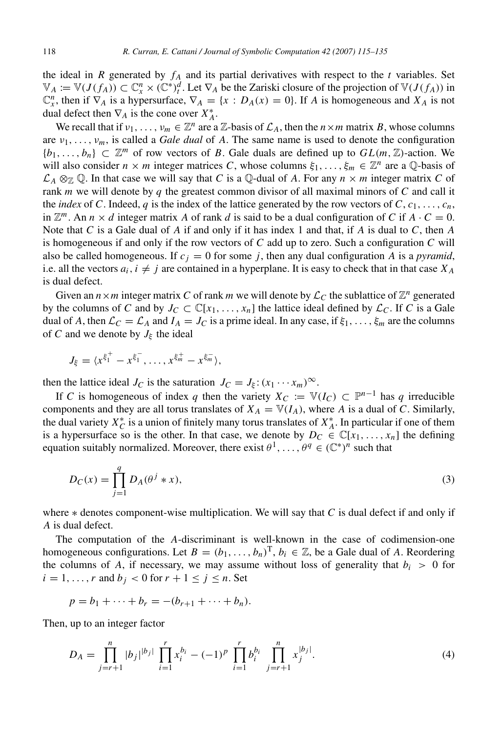the ideal in *R* generated by  $f_A$  and its partial derivatives with respect to the *t* variables. Set  $\mathbb{V}_A := \mathbb{V}(J(f_A)) \subset \mathbb{C}^n$ ,  $\times (\mathbb{C}^*)^d_t$ . Let  $\nabla_A$  be the Zariski closure of the projection of  $\mathbb{V}(J(f_A))$  in  $\mathbb{C}_x^n$ , then if  $\nabla_A$  is a hypersurface,  $\nabla_A = \{x : D_A(x) = 0\}$ . If *A* is homogeneous and *X<sub>A</sub>* is not dual defect then  $\nabla_A$  is the cone over  $X_A^*$ .

We recall that if  $v_1, \ldots, v_m \in \mathbb{Z}^n$  are a  $\mathbb{Z}$ -basis of  $\mathcal{L}_A$ , then the  $n \times m$  matrix B, whose columns are  $v_1, \ldots, v_m$ , is called a *Gale dual* of *A*. The same name is used to denote the configuration  ${b_1, \ldots, b_n} \subset \mathbb{Z}^m$  of row vectors of *B*. Gale duals are defined up to  $GL(m, \mathbb{Z})$ -action. We will also consider  $n \times m$  integer matrices C, whose columns  $\xi_1, \ldots, \xi_m \in \mathbb{Z}^n$  are a Q-basis of  $\mathcal{L}_A \otimes_{\mathbb{Z}} \mathbb{Q}$ . In that case we will say that *C* is a Q-dual of *A*. For any  $n \times m$  integer matrix *C* of rank *m* we will denote by *q* the greatest common divisor of all maximal minors of *C* and call it the *index* of *C*. Indeed, *q* is the index of the lattice generated by the row vectors of *C*,  $c_1, \ldots, c_n$ , in  $\mathbb{Z}^m$ . An  $n \times d$  integer matrix A of rank d is said to be a dual configuration of C if  $A \cdot C = 0$ . Note that *C* is a Gale dual of *A* if and only if it has index 1 and that, if *A* is dual to *C*, then *A* is homogeneous if and only if the row vectors of  $C$  add up to zero. Such a configuration  $C$  will also be called homogeneous. If  $c_i = 0$  for some *j*, then any dual configuration *A* is a *pyramid*, i.e. all the vectors  $a_i$ ,  $i \neq j$  are contained in a hyperplane. It is easy to check that in that case  $X_A$ is dual defect.

Given an  $n \times m$  integer matrix C of rank m we will denote by  $\mathcal{L}_C$  the sublattice of  $\mathbb{Z}^n$  generated by the columns of *C* and by  $J_C \subset \mathbb{C}[x_1, \ldots, x_n]$  the lattice ideal defined by  $\mathcal{L}_C$ . If *C* is a Gale dual of *A*, then  $\mathcal{L}_C = \mathcal{L}_A$  and  $I_A = J_C$  is a prime ideal. In any case, if  $\xi_1, \ldots, \xi_m$  are the columns of *C* and we denote by  $J_{\xi}$  the ideal

$$
J_{\xi} = \langle x^{\xi_1^+} - x^{\xi_1^-}, \dots, x^{\xi_m^+} - x^{\xi_m^-} \rangle,
$$

then the lattice ideal *J<sub>C</sub>* is the saturation  $J_C = J_{\xi} : (x_1 \cdots x_m)^{\infty}$ .

If *C* is homogeneous of index *q* then the variety  $X_C := \mathbb{V}(I_C) \subset \mathbb{P}^{n-1}$  has *q* irreducible components and they are all torus translates of  $X_A = \mathbb{V}(I_A)$ , where *A* is a dual of *C*. Similarly, the dual variety  $X_C^*$  is a union of finitely many torus translates of  $X_A^*$ . In particular if one of them is a hypersurface so is the other. In that case, we denote by  $D_C \in \mathbb{C}[x_1, \ldots, x_n]$  the defining equation suitably normalized. Moreover, there exist  $\theta^1, \ldots, \theta^q \in (\mathbb{C}^*)^n$  such that

<span id="page-3-1"></span>
$$
D_C(x) = \prod_{j=1}^{q} D_A(\theta^j * x),
$$
\n(3)

where ∗ denotes component-wise multiplication. We will say that *C* is dual defect if and only if *A* is dual defect.

The computation of the *A*-discriminant is well-known in the case of codimension-one homogeneous configurations. Let  $B = (b_1, \ldots, b_n)^T$ ,  $b_i \in \mathbb{Z}$ , be a Gale dual of *A*. Reordering the columns of *A*, if necessary, we may assume without loss of generality that  $b_i > 0$  for  $i = 1, \ldots, r$  and  $b_j < 0$  for  $r + 1 \le j \le n$ . Set

<span id="page-3-0"></span>
$$
p = b_1 + \dots + b_r = -(b_{r+1} + \dots + b_n).
$$

Then, up to an integer factor

$$
D_A = \prod_{j=r+1}^n |b_j|^{b_j} \prod_{i=1}^r x_i^{b_i} - (-1)^p \prod_{i=1}^r b_i^{b_i} \prod_{j=r+1}^n x_j^{|b_j|}.
$$
 (4)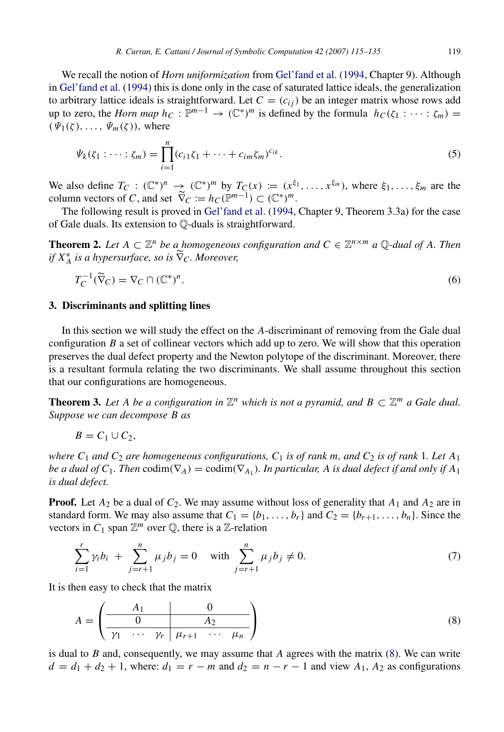We recall the notion of *Horn uniformization* from [Gel'fand et al.](#page-20-0) [\(1994,](#page-20-0) Chapter 9). Although in [Gel'fand et al.](#page-20-0) [\(1994\)](#page-20-0) this is done only in the case of saturated lattice ideals, the generalization to arbitrary lattice ideals is straightforward. Let  $C = (c_{ij})$  be an integer matrix whose rows add up to zero, the *Horn map*  $h_C : \mathbb{P}^{m-1} \to (\mathbb{C}^*)^m$  is defined by the formula  $h_C(\zeta_1 : \cdots : \zeta_m) =$  $(\Psi_1(\zeta), \ldots, \Psi_m(\zeta))$ , where

$$
\Psi_k(\zeta_1 : \dots : \zeta_m) = \prod_{i=1}^n (c_{i1}\zeta_1 + \dots + c_{im}\zeta_m)^{c_{ik}}.
$$
\n(5)

We also define  $T_C: (\mathbb{C}^*)^n \to (\mathbb{C}^*)^m$  by  $T_C(x) := (x^{\xi_1}, \ldots, x^{\xi_m})$ , where  $\xi_1, \ldots, \xi_m$  are the column vectors of *C*, and set  $\widetilde{\nabla}_C := h_C(\mathbb{P}^{m-1}) \subset (\mathbb{C}^*)^m$ .

The following result is proved in [Gel'fand et al.](#page-20-0) [\(1994,](#page-20-0) Chapter 9, Theorem 3.3a) for the case of Gale duals. Its extension to Q-duals is straightforward.

**Theorem 2.** Let  $A \subset \mathbb{Z}^n$  be a homogeneous configuration and  $C \in \mathbb{Z}^{n \times m}$  a Q-dual of A. Then *if*  $X_A^*$  *is a hypersurface, so is*  $\widetilde{\nabla}_C$ *. Moreover,* 

$$
T_C^{-1}(\widetilde{\nabla}_C) = \nabla_C \cap (\mathbb{C}^*)^n. \tag{6}
$$

#### 3. Discriminants and splitting lines

<span id="page-4-3"></span>−1

In this section we will study the effect on the *A*-discriminant of removing from the Gale dual configuration *B* a set of collinear vectors which add up to zero. We will show that this operation preserves the dual defect property and the Newton polytope of the discriminant. Moreover, there is a resultant formula relating the two discriminants. We shall assume throughout this section that our configurations are homogeneous.

<span id="page-4-1"></span>**Theorem 3.** Let A be a configuration in  $\mathbb{Z}^n$  which is not a pyramid, and  $B \subset \mathbb{Z}^m$  a Gale dual. *Suppose we can decompose B as*

$$
B=C_1\cup C_2,
$$

*where*  $C_1$  *and*  $C_2$  *are homogeneous configurations,*  $C_1$  *is of rank m, and*  $C_2$  *is of rank* 1*. Let*  $A_1$ *be a dual of C*<sub>1</sub>. Then  $\text{codim}(\nabla_A) = \text{codim}(\nabla_{A_1})$ . In particular, A is dual defect if and only if  $A_1$ *is dual defect.*

**Proof.** Let  $A_2$  be a dual of  $C_2$ . We may assume without loss of generality that  $A_1$  and  $A_2$  are in standard form. We may also assume that  $C_1 = \{b_1, \ldots, b_r\}$  and  $C_2 = \{b_{r+1}, \ldots, b_n\}$ . Since the vectors in  $C_1$  span  $\mathbb{Z}^m$  over  $\mathbb{Q}$ , there is a  $\mathbb{Z}$ -relation

<span id="page-4-2"></span>
$$
\sum_{i=1}^{r} \gamma_i b_i + \sum_{j=r+1}^{n} \mu_j b_j = 0 \quad \text{with } \sum_{j=r+1}^{n} \mu_j b_j \neq 0.
$$
 (7)

It is then easy to check that the matrix

<span id="page-4-0"></span>
$$
A = \left(\begin{array}{c|cc} A_1 & 0 \\ \hline 0 & A_2 \\ \hline \gamma_1 & \cdots & \gamma_r & \mu_{r+1} & \cdots & \mu_n \end{array}\right) \tag{8}
$$

is dual to *B* and, consequently, we may assume that *A* agrees with the matrix [\(8\)](#page-4-0). We can write  $d = d_1 + d_2 + 1$ , where:  $d_1 = r - m$  and  $d_2 = n - r - 1$  and view  $A_1$ ,  $A_2$  as configurations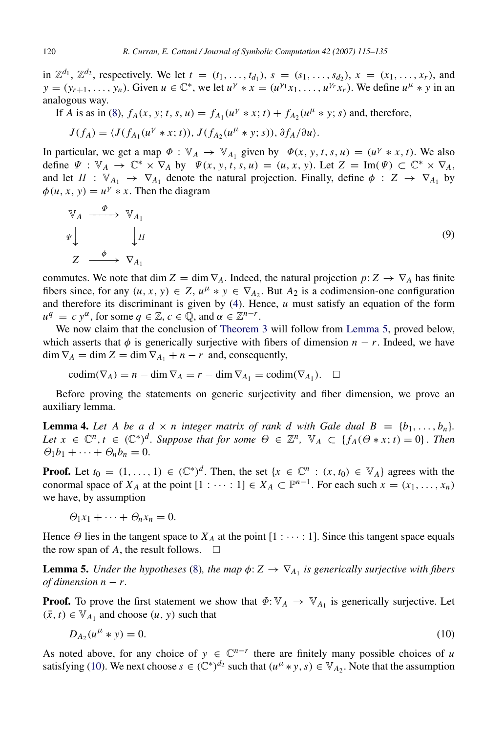in  $\mathbb{Z}^{d_1}$ ,  $\mathbb{Z}^{d_2}$ , respectively. We let  $t = (t_1, \ldots, t_{d_1}), s = (s_1, \ldots, s_{d_2}), x = (x_1, \ldots, x_r),$  and  $y = (y_{r+1}, \ldots, y_n)$ . Given  $u \in \mathbb{C}^*$ , we let  $u^{\gamma} * x = (u^{\gamma_1} x_1, \ldots, u^{\gamma_r} x_r)$ . We define  $u^{\mu} * y$  in an analogous way.

If *A* is as in [\(8\)](#page-4-0),  $f_A(x, y; t, s, u) = f_{A_1}(u^{\gamma} * x; t) + f_{A_2}(u^{\mu} * y; s)$  and, therefore,

$$
J(f_A) = \langle J(f_{A_1}(u^{\gamma} * x; t)), J(f_{A_2}(u^{\mu} * y; s)), \partial f_A/\partial u \rangle.
$$

In particular, we get a map  $\Phi : \mathbb{V}_A \to \mathbb{V}_{A_1}$  given by  $\Phi(x, y, t, s, u) = (u^{\gamma} * x, t)$ . We also define  $\Psi : \mathbb{V}_A \to \mathbb{C}^* \times \nabla_A$  by  $\Psi(x, y, t, s, u) = (u, x, y)$ . Let  $Z = \text{Im}(\Psi) \subset \mathbb{C}^* \times \nabla_A$ , and let  $\Pi : \mathbb{V}_{A_1} \to \mathbb{V}_{A_1}$  denote the natural projection. Finally, define  $\phi : Z \to \mathbb{V}_{A_1}$  by  $\phi(u, x, y) = u^{\gamma} * x$ . Then the diagram

$$
\begin{array}{ccc}\n \mathbb{V}_A & \xrightarrow{\Phi} & \mathbb{V}_{A_1} \\
\psi & \downarrow \pi & \downarrow \pi \\
Z & \xrightarrow{\phi} & \nabla_{A_1}\n \end{array} \tag{9}
$$

commutes. We note that dim  $Z = \dim \nabla_A$ . Indeed, the natural projection  $p: Z \to \nabla_A$  has finite fibers since, for any  $(u, x, y) \in Z$ ,  $u^{\mu} * y \in \nabla_{A_2}$ . But  $A_2$  is a codimension-one configuration and therefore its discriminant is given by [\(4\)](#page-3-0). Hence, *u* must satisfy an equation of the form  $u^q = c y^{\alpha}$ , for some  $q \in \mathbb{Z}, c \in \mathbb{Q}$ , and  $\alpha \in \mathbb{Z}^{n-r}$ .

We now claim that the conclusion of [Theorem](#page-4-1) [3](#page-4-1) will follow from [Lemma](#page-5-0) [5,](#page-5-0) proved below, which asserts that  $\phi$  is generically surjective with fibers of dimension  $n - r$ . Indeed, we have  $\dim \nabla_A = \dim Z = \dim \nabla_{A_1} + n - r$  and, consequently,

$$
\operatorname{codim}(\nabla_A) = n - \dim \nabla_A = r - \dim \nabla_{A_1} = \operatorname{codim}(\nabla_{A_1}). \quad \Box
$$

Before proving the statements on generic surjectivity and fiber dimension, we prove an auxiliary lemma.

<span id="page-5-2"></span>**Lemma 4.** Let A be a  $d \times n$  integer matrix of rank d with Gale dual  $B = \{b_1, \ldots, b_n\}$ . *Let*  $x \in \mathbb{C}^n$ ,  $t \in (\mathbb{C}^*)^d$ . Suppose that for some  $\Theta \in \mathbb{Z}^n$ ,  $\mathbb{V}_A \subset \{f_A(\Theta \ast x; t) = 0\}$ . Then  $\Theta_1b_1+\cdots+\Theta_nb_n=0.$ 

**Proof.** Let  $t_0 = (1, \ldots, 1) \in (\mathbb{C}^*)^d$ . Then, the set  $\{x \in \mathbb{C}^n : (x, t_0) \in \mathbb{V}_A\}$  agrees with the conormal space of  $X_A$  at the point  $[1 : \cdots : 1] \in X_A \subset \mathbb{P}^{n-1}$ . For each such  $x = (x_1, \ldots, x_n)$ we have, by assumption

$$
\Theta_1 x_1 + \cdots + \Theta_n x_n = 0.
$$

Hence  $\Theta$  lies in the tangent space to  $X_A$  at the point  $[1 : \cdots : 1]$ . Since this tangent space equals the row span of A, the result follows.  $\square$ 

<span id="page-5-0"></span>**Lemma 5.** *Under the hypotheses* [\(8\)](#page-4-0), the map  $\phi: Z \to \nabla_{A_1}$  is generically surjective with fibers *of dimension*  $n - r$ .

**Proof.** To prove the first statement we show that  $\Phi: \mathbb{V}_A \to \mathbb{V}_{A_1}$  is generically surjective. Let  $(\bar{x}, t) \in \mathbb{V}_{A_1}$  and choose  $(u, y)$  such that

<span id="page-5-1"></span>
$$
D_{A_2}(u^{\mu} * y) = 0. \t\t(10)
$$

As noted above, for any choice of  $y \in \mathbb{C}^{n-r}$  there are finitely many possible choices of *u* satisfying [\(10\)](#page-5-1). We next choose  $s \in (\mathbb{C}^*)^{d_2}$  such that  $(u^{\mu} * y, s) \in \mathbb{V}_{A_2}$ . Note that the assumption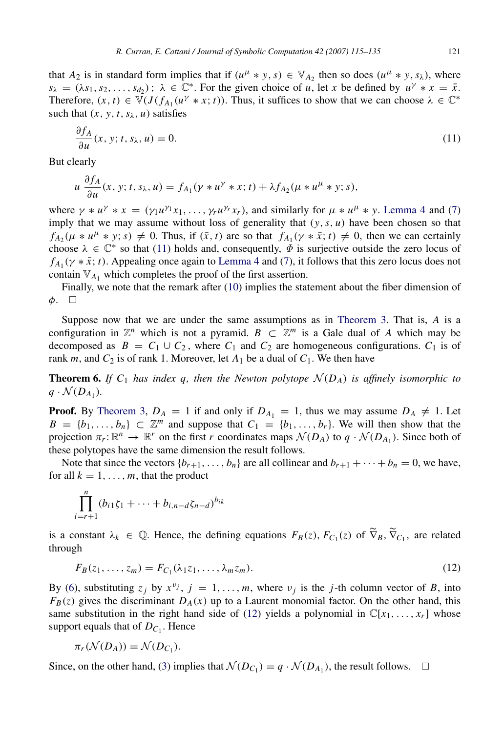that  $A_2$  is in standard form implies that if  $(u^{\mu} * y, s) \in V_{A_2}$  then so does  $(u^{\mu} * y, s_{\lambda})$ , where  $s_{\lambda} = (\lambda s_1, s_2, \dots, s_{d_2})$ ;  $\lambda \in \mathbb{C}^*$ . For the given choice of *u*, let *x* be defined by  $u^{\gamma} * x = \overline{x}$ . Therefore,  $(x, t) \in \mathbb{V}(J(f_{A_1}(u^{\gamma} * x; t))$ . Thus, it suffices to show that we can choose  $\lambda \in \mathbb{C}^*$ such that  $(x, y, t, s_\lambda, u)$  satisfies

<span id="page-6-0"></span>
$$
\frac{\partial f_A}{\partial u}(x, y; t, s_\lambda, u) = 0. \tag{11}
$$

But clearly

$$
u \frac{\partial f_A}{\partial u}(x, y; t, s_\lambda, u) = f_{A_1}(y * u^\gamma * x; t) + \lambda f_{A_2}(\mu * u^\mu * y; s),
$$

where  $\gamma * u^{\gamma} * x = (\gamma_1 u^{\gamma_1} x_1, \dots, \gamma_r u^{\gamma_r} x_r)$ , and similarly for  $\mu * u^{\mu} * y$ . [Lemma](#page-5-2) [4](#page-5-2) and [\(7\)](#page-4-2) imply that we may assume without loss of generality that  $(y, s, u)$  have been chosen so that  $f_{A_2}(\mu * u^{\mu} * y; s) \neq 0$ . Thus, if  $(\bar{x}, t)$  are so that  $f_{A_1}(\gamma * \bar{x}; t) \neq 0$ , then we can certainly choose  $\lambda \in \mathbb{C}^*$  so that [\(11\)](#page-6-0) holds and, consequently,  $\overline{\phi}$  is surjective outside the zero locus of  $f_{A_1}(\gamma * \bar{x}; t)$ . Appealing once again to [Lemma](#page-5-2) [4](#page-5-2) and [\(7\)](#page-4-2), it follows that this zero locus does not contain  $V_{A_1}$  which completes the proof of the first assertion.

Finally, we note that the remark after [\(10\)](#page-5-1) implies the statement about the fiber dimension of  $\phi$ .  $\Box$ 

Suppose now that we are under the same assumptions as in [Theorem](#page-4-1) [3.](#page-4-1) That is, *A* is a configuration in  $\mathbb{Z}^n$  which is not a pyramid.  $B \subset \mathbb{Z}^m$  is a Gale dual of *A* which may be decomposed as  $B = C_1 \cup C_2$ , where  $C_1$  and  $C_2$  are homogeneous configurations.  $C_1$  is of rank *m*, and  $C_2$  is of rank 1. Moreover, let  $A_1$  be a dual of  $C_1$ . We then have

<span id="page-6-2"></span>**Theorem 6.** If  $C_1$  has index q, then the Newton polytope  $\mathcal{N}(D_A)$  is affinely isomorphic to  $q \cdot \mathcal{N}(D_{A_1})$ .

**Proof.** By [Theorem](#page-4-1) [3,](#page-4-1)  $D_A = 1$  if and only if  $D_{A_1} = 1$ , thus we may assume  $D_A \neq 1$ . Let  $B = \{b_1, \ldots, b_n\} \subset \mathbb{Z}^m$  and suppose that  $C_1 = \{b_1, \ldots, b_r\}$ . We will then show that the projection  $\pi_r : \mathbb{R}^n \to \mathbb{R}^r$  on the first *r* coordinates maps  $\mathcal{N}(D_A)$  to  $q \cdot \mathcal{N}(D_{A_1})$ . Since both of these polytopes have the same dimension the result follows.

Note that since the vectors  ${b_{r+1}, \ldots, b_n}$  are all collinear and  $b_{r+1} + \cdots + b_n = 0$ , we have, for all  $k = 1, \ldots, m$ , that the product

$$
\prod_{i=r+1}^{n} (b_{i1}\zeta_1 + \cdots + b_{i,n-d}\zeta_{n-d})^{b_{ik}}
$$

is a constant  $\lambda_k \in \mathbb{Q}$ . Hence, the defining equations  $F_B(z)$ ,  $F_{C_1}(z)$  of  $\tilde{\nabla}_B$ ,  $\tilde{\nabla}_{C_1}$ , are related through

<span id="page-6-1"></span>
$$
F_B(z_1,\ldots,z_m)=F_{C_1}(\lambda_1z_1,\ldots,\lambda_mz_m). \hspace{1cm} (12)
$$

By [\(6\)](#page-4-3), substituting  $z_j$  by  $x^{\nu_j}$ ,  $j = 1, ..., m$ , where  $\nu_j$  is the *j*-th column vector of *B*, into  $F_B(z)$  gives the discriminant  $D_A(x)$  up to a Laurent monomial factor. On the other hand, this same substitution in the right hand side of [\(12\)](#page-6-1) yields a polynomial in  $\mathbb{C}[x_1, \ldots, x_r]$  whose support equals that of  $D_{C_1}$ . Hence

$$
\pi_r(\mathcal{N}(D_A)) = \mathcal{N}(D_{C_1}).
$$

Since, on the other hand, [\(3\)](#page-3-1) implies that  $\mathcal{N}(D_{C_1}) = q \cdot \mathcal{N}(D_{A_1})$ , the result follows.  $\Box$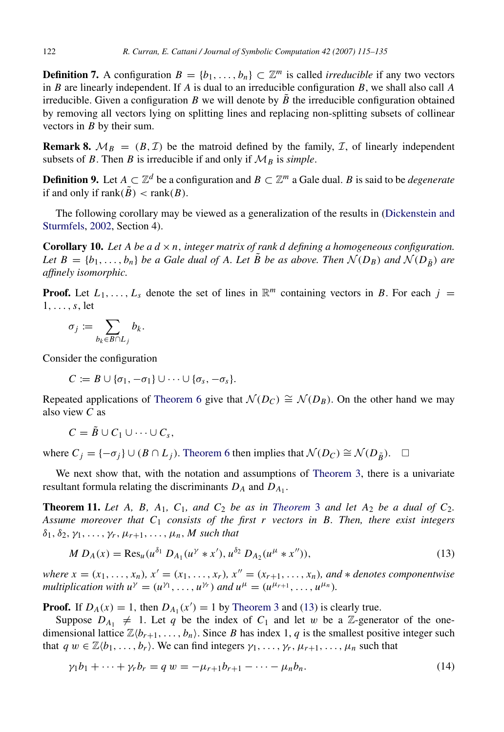<span id="page-7-4"></span>**Definition 7.** A configuration  $B = \{b_1, \ldots, b_n\} \subset \mathbb{Z}^m$  is called *irreducible* if any two vectors in *B* are linearly independent. If *A* is dual to an irreducible configuration *B*, we shall also call *A* irreducible. Given a configuration *B* we will denote by  $\tilde{B}$  the irreducible configuration obtained by removing all vectors lying on splitting lines and replacing non-splitting subsets of collinear vectors in *B* by their sum.

**Remark 8.**  $\mathcal{M}_B = (B, \mathcal{I})$  be the matroid defined by the family,  $\mathcal{I}$ , of linearly independent subsets of *B*. Then *B* is irreducible if and only if  $M_B$  is *simple*.

**Definition 9.** Let  $A \subset \mathbb{Z}^d$  be a configuration and  $B \subset \mathbb{Z}^m$  a Gale dual. *B* is said to be *degenerate* if and only if  $\text{rank}(\tilde{B}) < \text{rank}(B)$ .

The following corollary may be viewed as a generalization of the results in [\(Dickenstein and](#page-20-4) [Sturmfels,](#page-20-4) [2002,](#page-20-4) Section 4).

<span id="page-7-3"></span>**Corollary 10.** Let A be a  $d \times n$ , integer matrix of rank d defining a homogeneous configuration. *Let*  $B = \{b_1, \ldots, b_n\}$  *be a Gale dual of A. Let*  $\tilde{B}$  *be as above. Then*  $\mathcal{N}(D_B)$  *and*  $\mathcal{N}(D_{\tilde{B}})$  *are affinely isomorphic.*

**Proof.** Let  $L_1, \ldots, L_s$  denote the set of lines in  $\mathbb{R}^m$  containing vectors in *B*. For each  $j =$ 1, . . . ,*s*, let

$$
\sigma_j := \sum_{b_k \in B \cap L_j} b_k.
$$

Consider the configuration

$$
C := B \cup \{\sigma_1, -\sigma_1\} \cup \cdots \cup \{\sigma_s, -\sigma_s\}.
$$

Repeated applications of [Theorem](#page-6-2) [6](#page-6-2) give that  $\mathcal{N}(D_C) \cong \mathcal{N}(D_B)$ . On the other hand we may also view *C* as

 $C = \tilde{B} \cup C_1 \cup \cdots \cup C_s$ 

where  $C_i = \{-\sigma_i\} \cup (B \cap L_i)$ . [Theorem](#page-6-2) [6](#page-6-2) then implies that  $\mathcal{N}(D_C) \cong \mathcal{N}(D_{\tilde{B}})$ . □

We next show that, with the notation and assumptions of [Theorem](#page-4-1) [3,](#page-4-1) there is a univariate resultant formula relating the discriminants *D<sup>A</sup>* and *DA*<sup>1</sup> .

<span id="page-7-0"></span>**[Theorem](#page-4-1) 11.** Let A, B, A<sub>1</sub>, C<sub>1</sub>, and C<sub>2</sub> be as in Theorem [3](#page-4-1) and let A<sub>2</sub> be a dual of C<sub>2</sub>. *Assume moreover that C*<sup>1</sup> *consists of the first r vectors in B. Then, there exist integers*  $\delta_1, \delta_2, \gamma_1, \ldots, \gamma_r, \mu_{r+1}, \ldots, \mu_n, M$  such that

<span id="page-7-1"></span>
$$
M D_A(x) = \text{Res}_u(u^{\delta_1} D_{A_1}(u^{\gamma} * x'), u^{\delta_2} D_{A_2}(u^{\mu} * x'')),
$$
\n(13)

*where*  $x = (x_1, ..., x_n)$ ,  $x' = (x_1, ..., x_r)$ ,  $x'' = (x_{r+1}, ..., x_n)$ , and  $*$  denotes componentwise *multiplication with*  $u^{\gamma} = (u^{\gamma_1}, \dots, u^{\gamma_r})$  *and*  $u^{\mu} = (u^{\mu_{r+1}}, \dots, u^{\mu_n})$ *.* 

**Proof.** If  $D_A(x) = 1$ , then  $D_{A_1}(x') = 1$  by [Theorem](#page-4-1) [3](#page-4-1) and [\(13\)](#page-7-1) is clearly true.

Suppose  $D_{A_1} \neq 1$ . Let *q* be the index of  $C_1$  and let w be a Z-generator of the onedimensional lattice  $\mathbb{Z}\langle b_{r+1}, \ldots, b_n \rangle$ . Since *B* has index 1, *q* is the smallest positive integer such that  $q w \in \mathbb{Z} \langle b_1, \ldots, b_r \rangle$ . We can find integers  $\gamma_1, \ldots, \gamma_r, \mu_{r+1}, \ldots, \mu_n$  such that

<span id="page-7-2"></span>
$$
\gamma_1 b_1 + \dots + \gamma_r b_r = q w = -\mu_{r+1} b_{r+1} - \dots - \mu_n b_n. \tag{14}
$$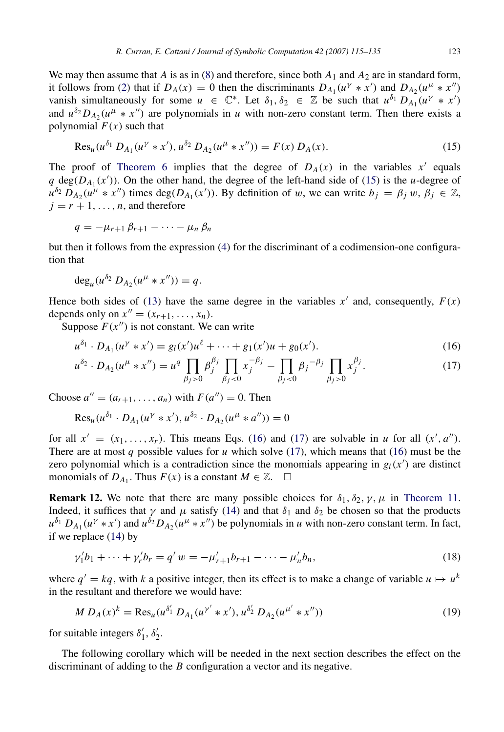We may then assume that *A* is as in [\(8\)](#page-4-0) and therefore, since both  $A_1$  and  $A_2$  are in standard form, it follows from [\(2\)](#page-2-0) that if  $D_A(x) = 0$  then the discriminants  $D_{A_1}(u^{\gamma} * x')$  and  $D_{A_2}(u^{\mu} * x'')$ vanish simultaneously for some  $u \in \mathbb{C}^*$ . Let  $\delta_1, \delta_2 \in \mathbb{Z}$  be such that  $u^{\delta_1} D_{A_1}(u^{\gamma} * x')$ and  $u^{\delta_2} D_{A_2}(u^{\mu} * x^{\prime\prime})$  are polynomials in *u* with non-zero constant term. Then there exists a polynomial  $F(x)$  such that

<span id="page-8-0"></span>
$$
\operatorname{Res}_{u}(u^{\delta_1} D_{A_1}(u^{\gamma} * x'), u^{\delta_2} D_{A_2}(u^{\mu} * x'')) = F(x) D_A(x). \tag{15}
$$

The proof of [Theorem](#page-6-2) [6](#page-6-2) implies that the degree of  $D_A(x)$  in the variables  $x'$  equals  $q \deg(D_{A_1}(x'))$ . On the other hand, the degree of the left-hand side of [\(15\)](#page-8-0) is the *u*-degree of  $u^{\delta_2} D_{A_2}(u^{\mu} * x^{\prime\prime})$  times deg( $D_{A_1}(x^{\prime})$ ). By definition of w, we can write  $b_j = \beta_j w$ ,  $\beta_j \in \mathbb{Z}$ ,  $j = r + 1, \ldots, n$ , and therefore

$$
q=-\mu_{r+1}\,\beta_{r+1}-\cdots-\mu_n\,\beta_n
$$

but then it follows from the expression [\(4\)](#page-3-0) for the discriminant of a codimension-one configuration that

$$
\deg_u(u^{\delta_2} D_{A_2}(u^{\mu} * x'')) = q.
$$

Hence both sides of [\(13\)](#page-7-1) have the same degree in the variables  $x'$  and, consequently,  $F(x)$ depends only on  $x'' = (x_{r+1}, ..., x_n)$ .

Suppose  $F(x'')$  is not constant. We can write

$$
u^{\delta_1} \cdot D_{A_1}(u^{\gamma} * x') = g_l(x')u^{\ell} + \dots + g_1(x')u + g_0(x'). \tag{16}
$$

<span id="page-8-2"></span><span id="page-8-1"></span>
$$
u^{\delta_2} \cdot D_{A_2}(u^{\mu} * x^{\prime\prime}) = u^q \prod_{\beta_j > 0} \beta_j^{\beta_j} \prod_{\beta_j < 0} x_j^{-\beta_j} - \prod_{\beta_j < 0} \beta_j^{-\beta_j} \prod_{\beta_j > 0} x_j^{\beta_j}.\tag{17}
$$

Choose  $a'' = (a_{r+1}, \dots, a_n)$  with  $F(a'') = 0$ . Then

$$
Res_u(u^{\delta_1} \cdot D_{A_1}(u^{\gamma} * x'), u^{\delta_2} \cdot D_{A_2}(u^{\mu} * a'')) = 0
$$

for all  $x' = (x_1, \ldots, x_r)$ . This means Eqs. [\(16\)](#page-8-1) and [\(17\)](#page-8-2) are solvable in *u* for all  $(x', a'')$ . There are at most *q* possible values for *u* which solve [\(17\)](#page-8-2), which means that [\(16\)](#page-8-1) must be the zero polynomial which is a contradiction since the monomials appearing in  $g_i(x')$  are distinct monomials of  $D_{A_1}$ . Thus  $F(x)$  is a constant  $M \in \mathbb{Z}$ .  $\square$ 

<span id="page-8-4"></span>**Remark 12.** We note that there are many possible choices for  $\delta_1$ ,  $\delta_2$ ,  $\gamma$ ,  $\mu$  in [Theorem](#page-7-0) [11.](#page-7-0) Indeed, it suffices that  $\gamma$  and  $\mu$  satisfy [\(14\)](#page-7-2) and that  $\delta_1$  and  $\delta_2$  be chosen so that the products  $u^{\delta_1} D_{A_1}(u^{\gamma} * x')$  and  $u^{\delta_2} D_{A_2}(u^{\mu} * x'')$  be polynomials in *u* with non-zero constant term. In fact, if we replace [\(14\)](#page-7-2) by

$$
\gamma_1'b_1 + \dots + \gamma_r'b_r = q' w = -\mu_{r+1}'b_{r+1} - \dots - \mu_n'b_n,\tag{18}
$$

where  $q' = kq$ , with *k* a positive integer, then its effect is to make a change of variable  $u \mapsto u^k$ in the resultant and therefore we would have:

<span id="page-8-5"></span>
$$
M D_A(x)^k = \text{Res}_u(u^{\delta'_1} D_{A_1}(u^{\gamma'} * x'), u^{\delta'_2} D_{A_2}(u^{\mu'} * x'')) \tag{19}
$$

for suitable integers  $\delta'_1$ ,  $\delta'_2$ .

<span id="page-8-3"></span>The following corollary which will be needed in the next section describes the effect on the discriminant of adding to the *B* configuration a vector and its negative.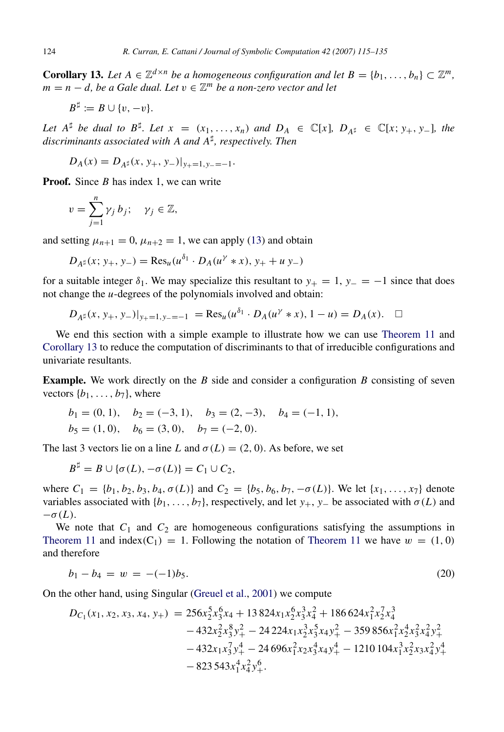**Corollary 13.** Let  $A \in \mathbb{Z}^{d \times n}$  be a homogeneous configuration and let  $B = \{b_1, \ldots, b_n\} \subset \mathbb{Z}^m$ , *m* = *n* − *d, be a Gale dual. Let* v ∈ Z *<sup>m</sup> be a non-zero vector and let*

$$
B^{\sharp} := B \cup \{v, -v\}.
$$

*Let*  $A^{\sharp}$  *be dual to*  $B^{\sharp}$ *. Let*  $x = (x_1, ..., x_n)$  *and*  $D_A \in \mathbb{C}[x]$ *,*  $D_{A^{\sharp}} \in \mathbb{C}[x; y_+, y_-\]$ *, the discriminants associated with A and A*] *, respectively. Then*

$$
D_A(x) = D_{A^{\sharp}}(x, y_+, y_-)|_{y_+ = 1, y_- = -1}.
$$

**Proof.** Since *B* has index 1, we can write

$$
v=\sum_{j=1}^n \gamma_j b_j; \quad \gamma_j\in\mathbb{Z},
$$

and setting  $\mu_{n+1} = 0$ ,  $\mu_{n+2} = 1$ , we can apply [\(13\)](#page-7-1) and obtain

$$
D_{A^{\sharp}}(x; y_{+}, y_{-}) = \text{Res}_{u}(u^{\delta_{1}} \cdot D_{A}(u^{\gamma} * x), y_{+} + u y_{-})
$$

for a suitable integer  $\delta_1$ . We may specialize this resultant to  $y_+ = 1$ ,  $y_- = -1$  since that does not change the *u*-degrees of the polynomials involved and obtain:

$$
D_{A^{\sharp}}(x, y_{+}, y_{-})|_{y_{+}=1, y_{-}=-1} = \text{Res}_{u}(u^{\delta_{1}} \cdot D_{A}(u^{\gamma} * x), 1-u) = D_{A}(x). \quad \Box
$$

We end this section with a simple example to illustrate how we can use [Theorem](#page-7-0) [11](#page-7-0) and [Corollary](#page-8-3) [13](#page-8-3) to reduce the computation of discriminants to that of irreducible configurations and univariate resultants.

Example. We work directly on the *B* side and consider a configuration *B* consisting of seven vectors  $\{b_1, \ldots, b_7\}$ , where

$$
b_1 = (0, 1),
$$
  $b_2 = (-3, 1),$   $b_3 = (2, -3),$   $b_4 = (-1, 1),$   
 $b_5 = (1, 0),$   $b_6 = (3, 0),$   $b_7 = (-2, 0).$ 

The last 3 vectors lie on a line *L* and  $\sigma(L) = (2, 0)$ . As before, we set

$$
B^{\sharp} = B \cup \{ \sigma(L), -\sigma(L) \} = C_1 \cup C_2,
$$

where  $C_1 = \{b_1, b_2, b_3, b_4, \sigma(L)\}\$  and  $C_2 = \{b_5, b_6, b_7, -\sigma(L)\}\$ . We let  $\{x_1, \ldots, x_7\}$  denote variables associated with  $\{b_1, \ldots, b_7\}$ , respectively, and let  $y_+, y_-$  be associated with  $\sigma(L)$  and  $-\sigma(L)$ .

We note that  $C_1$  and  $C_2$  are homogeneous configurations satisfying the assumptions in [Theorem](#page-7-0) [11](#page-7-0) and index(C<sub>1</sub>) = 1. Following the notation of Theorem 11 we have  $w = (1, 0)$ and therefore

<span id="page-9-0"></span>
$$
b_1 - b_4 = w = -(-1)b_5. \tag{20}
$$

On the other hand, using Singular [\(Greuel et al.,](#page-20-11) [2001\)](#page-20-11) we compute

$$
D_{C_1}(x_1, x_2, x_3, x_4, y_+) = 256x_2^5x_3^6x_4 + 13824x_1x_2^6x_3^3x_4^2 + 186624x_1^2x_2^7x_4^3
$$
  
\n
$$
-432x_2^2x_3^8y_+^2 - 24224x_1x_2^3x_3^5x_4y_+^2 - 359856x_1^2x_2^4x_3^2x_4^2y_+^2
$$
  
\n
$$
-432x_1x_3^7y_+^4 - 24696x_1^2x_2x_3^4x_4y_+^4 - 1210104x_1^3x_2^2x_3x_4^2y_+^4
$$
  
\n
$$
-823543x_1^4x_4^2y_+^6.
$$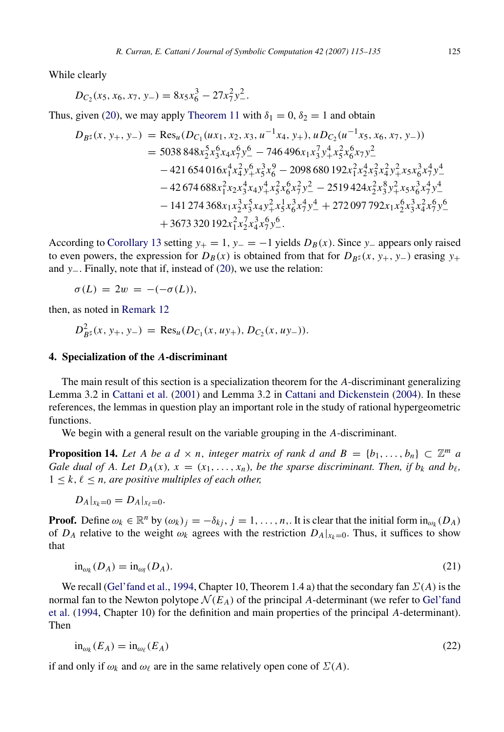While clearly

$$
D_{C_2}(x_5, x_6, x_7, y_-) = 8x_5x_6^3 - 27x_7^2y_-^2.
$$

Thus, given [\(20\)](#page-9-0), we may apply [Theorem](#page-7-0) [11](#page-7-0) with  $\delta_1 = 0$ ,  $\delta_2 = 1$  and obtain

$$
D_{B^{\sharp}}(x, y_{+}, y_{-}) = \text{Res}_{u}(D_{C_{1}}(ux_{1}, x_{2}, x_{3}, u^{-1}x_{4}, y_{+}), uD_{C_{2}}(u^{-1}x_{5}, x_{6}, x_{7}, y_{-}))
$$
  
\n
$$
= 5038848x_{2}^{5}x_{3}^{6}x_{4}x_{7}^{6}y_{-}^{6} - 746496x_{1}x_{3}^{7}y_{+}^{4}x_{5}^{2}x_{6}^{6}x_{7}y_{-}^{2}
$$
  
\n
$$
- 421654016x_{1}^{4}x_{4}^{2}y_{+}^{6}x_{3}^{3}x_{6}^{9} - 2098680192x_{1}^{2}x_{2}^{4}x_{3}^{2}x_{4}^{2}y_{+}^{2}x_{5}x_{6}^{3}x_{7}^{4}y_{-}^{4}
$$
  
\n
$$
- 42674688x_{1}^{2}x_{2}x_{3}^{4}x_{4}y_{+}^{4}x_{5}^{2}x_{6}^{6}x_{7}^{2}y_{-}^{2} - 2519424x_{2}^{2}x_{3}^{8}y_{+}^{2}x_{5}x_{6}^{3}x_{7}^{4}y_{-}^{4}
$$
  
\n
$$
- 141274368x_{1}x_{2}^{3}x_{3}^{5}x_{4}y_{+}^{2}x_{5}^{1}x_{6}^{3}x_{7}^{4}y_{-}^{4} + 272097792x_{1}x_{2}^{6}x_{3}^{3}x_{4}^{2}x_{7}^{6}y_{-}^{6}
$$
  
\n
$$
+ 3673320192x_{1}^{2}x_{2}^{7}x_{4}^{3}x_{7}^{6}y_{-}^{6}.
$$

According to [Corollary](#page-8-3) [13](#page-8-3) setting  $y_+ = 1$ ,  $y_- = -1$  yields  $D_B(x)$ . Since  $y_-$  appears only raised to even powers, the expression for  $D_B(x)$  is obtained from that for  $D_{B<sup>\sharp</sup>}(x, y_+, y_-)$  erasing  $y_+$ and *y*−. Finally, note that if, instead of [\(20\)](#page-9-0), we use the relation:

$$
\sigma(L) = 2w = -(-\sigma(L)),
$$

then, as noted in [Remark](#page-8-4) [12](#page-8-4)

$$
D_{B^{\sharp}}^2(x, y_+, y_-) = \text{Res}_{u}(D_{C_1}(x, uy_+), D_{C_2}(x, uy_-)).
$$

#### <span id="page-10-0"></span>4. Specialization of the *A*-discriminant

The main result of this section is a specialization theorem for the *A*-discriminant generalizing Lemma 3.2 in [Cattani et al.](#page-20-2) [\(2001\)](#page-20-2) and Lemma 3.2 in [Cattani and Dickenstein](#page-20-3) [\(2004\)](#page-20-3). In these references, the lemmas in question play an important role in the study of rational hypergeometric functions.

We begin with a general result on the variable grouping in the *A*-discriminant.

**Proposition 14.** Let A be a  $d \times n$ , integer matrix of rank d and  $B = \{b_1, \ldots, b_n\} \subset \mathbb{Z}^m$  a *Gale dual of A. Let*  $D_A(x)$ *,*  $x = (x_1, \ldots, x_n)$ *, be the sparse discriminant. Then, if*  $b_k$  *and*  $b_\ell$ *,*  $1 \leq k, \ell \leq n$ , are positive multiples of each other,

$$
D_A|_{x_k=0}=D_A|_{x_\ell=0}.
$$

**Proof.** Define  $\omega_k \in \mathbb{R}^n$  by  $(\omega_k)_j = -\delta_{kj}, j = 1, \ldots, n$ . It is clear that the initial form  $\text{in}_{\omega_k}(D_A)$ of *D<sub>A</sub>* relative to the weight  $\omega_k$  agrees with the restriction  $D_A|_{x_k=0}$ . Thus, it suffices to show that

<span id="page-10-2"></span>
$$
\text{in}_{\omega_k}(D_A) = \text{in}_{\omega_l}(D_A). \tag{21}
$$

We recall [\(Gel'fand et al.,](#page-20-0) [1994,](#page-20-0) Chapter 10, Theorem 1.4 a) that the secondary fan  $\Sigma(A)$  is the normal fan to the Newton polytope  $\mathcal{N}(E_A)$  of the principal A-determinant (we refer to [Gel'fand](#page-20-0) [et al.](#page-20-0) [\(1994,](#page-20-0) Chapter 10) for the definition and main properties of the principal *A*-determinant). Then

<span id="page-10-1"></span>
$$
\text{in}_{\omega_k}(E_A) = \text{in}_{\omega_\ell}(E_A) \tag{22}
$$

if and only if  $\omega_k$  and  $\omega_\ell$  are in the same relatively open cone of  $\Sigma(A)$ .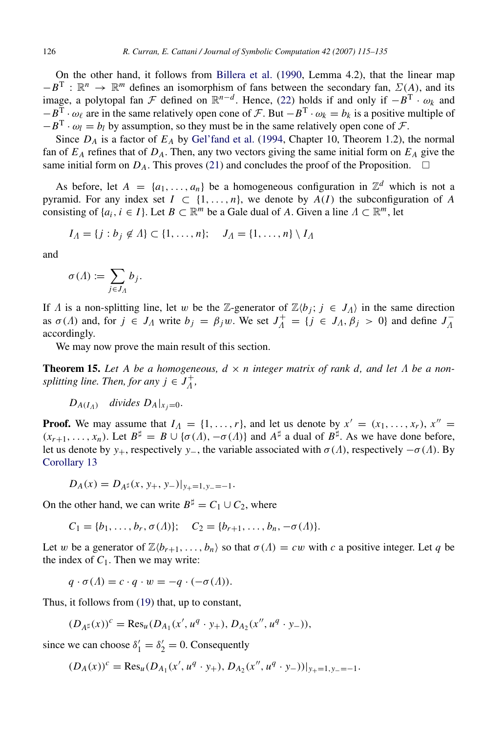On the other hand, it follows from [Billera et al.](#page-20-12) [\(1990,](#page-20-12) Lemma 4.2), that the linear map  $-B^T : \mathbb{R}^n \to \mathbb{R}^m$  defines an isomorphism of fans between the secondary fan,  $\Sigma(A)$ , and its image, a polytopal fan  $\mathcal F$  defined on  $\mathbb R^{n-d}$ . Hence, [\(22\)](#page-10-1) holds if and only if  $-B^T \cdot \omega_k$  and  $-B^T \cdot \omega_\ell$  are in the same relatively open cone of F. But  $-B^T \cdot \omega_k = b_k$  is a positive multiple of  $-B^T \cdot \omega_l = b_l$  by assumption, so they must be in the same relatively open cone of  $\mathcal{F}$ .

Since  $D_A$  is a factor of  $E_A$  by [Gel'fand et al.](#page-20-0) [\(1994,](#page-20-0) Chapter 10, Theorem 1.2), the normal fan of  $E_A$  refines that of  $D_A$ . Then, any two vectors giving the same initial form on  $E_A$  give the same initial form on  $D_A$ . This proves [\(21\)](#page-10-2) and concludes the proof of the Proposition.  $\Box$ 

As before, let  $A = \{a_1, \ldots, a_n\}$  be a homogeneous configuration in  $\mathbb{Z}^d$  which is not a pyramid. For any index set  $I \subset \{1, ..., n\}$ , we denote by  $\overline{A}(I)$  the subconfiguration of A consisting of  $\{a_i, i \in I\}$ . Let  $B \subset \mathbb{R}^m$  be a Gale dual of *A*. Given a line  $\Lambda \subset \mathbb{R}^m$ , let

$$
I_A = \{j : b_j \notin A\} \subset \{1, \ldots, n\}; \quad J_A = \{1, \ldots, n\} \setminus I_A
$$

and

$$
\sigma(\Lambda) := \sum_{j \in J_{\Lambda}} b_j.
$$

If  $\Lambda$  is a non-splitting line, let w be the Z-generator of  $\mathbb{Z}\langle b_i; j \in J_\Lambda \rangle$  in the same direction as  $\sigma(A)$  and, for  $j \in J_A$  write  $b_j = \beta_j w$ . We set  $J_A^+ = \{j \in J_A, \beta_j > 0\}$  and define  $J_A^-$ Λ accordingly.

We may now prove the main result of this section.

<span id="page-11-0"></span>**Theorem 15.** Let A be a homogeneous,  $d \times n$  integer matrix of rank d, and let  $\Lambda$  be a non*splitting line. Then, for any*  $j \in J_A^+$ Λ *,*

$$
D_{A(I_A)} \quad divides \ D_A|_{x_j=0}.
$$

**Proof.** We may assume that  $I_A = \{1, \ldots, r\}$ , and let us denote by  $x' = (x_1, \ldots, x_r)$ ,  $x'' =$  $(x_{r+1},...,x_n)$ . Let  $B^{\sharp} = B \cup {\sigma(\Lambda), -\sigma(\Lambda)}$  and  $A^{\sharp}$  a dual of  $B^{\sharp}$ . As we have done before, let us denote by *y*<sub>+</sub>, respectively *y*<sub>−</sub>, the variable associated with  $\sigma(\Lambda)$ , respectively  $-\sigma(\Lambda)$ . By [Corollary](#page-8-3) [13](#page-8-3)

 $D_A(x) = D_{A^\sharp}(x, y_+, y_-)|_{y_+ = 1, y_- = -1}.$ 

On the other hand, we can write  $B^{\sharp} = C_1 \cup C_2$ , where

 $C_1 = \{b_1, \ldots, b_r, \sigma(\Lambda)\}; \quad C_2 = \{b_{r+1}, \ldots, b_n, -\sigma(\Lambda)\}.$ 

Let w be a generator of  $\mathbb{Z}\langle b_{r+1}, \ldots, b_n \rangle$  so that  $\sigma(\Lambda) = cw$  with c a positive integer. Let q be the index of  $C_1$ . Then we may write:

$$
q \cdot \sigma(\Lambda) = c \cdot q \cdot w = -q \cdot (-\sigma(\Lambda)).
$$

Thus, it follows from [\(19\)](#page-8-5) that, up to constant,

$$
(D_{A^{\sharp}}(x))^c = \text{Res}_{u}(D_{A_1}(x', u^q \cdot y_+), D_{A_2}(x'', u^q \cdot y_-)),
$$

since we can choose  $\delta_1' = \delta_2' = 0$ . Consequently

$$
(D_A(x))^c = \text{Res}_u(D_{A_1}(x', u^q \cdot y_+), D_{A_2}(x'', u^q \cdot y_-))|_{y_+ = 1, y_- = -1}.
$$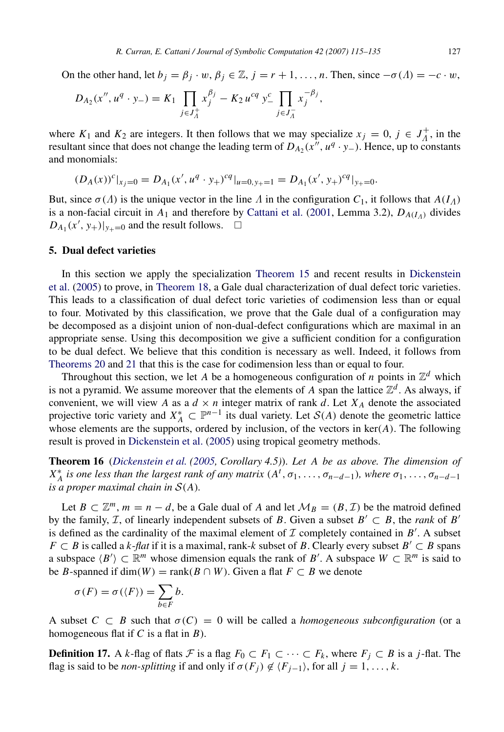On the other hand, let  $b_j = \beta_j \cdot w$ ,  $\beta_j \in \mathbb{Z}$ ,  $j = r + 1, \dots, n$ . Then, since  $-\sigma(\Lambda) = -c \cdot w$ ,

$$
D_{A_2}(x'', u^q \cdot y_-) = K_1 \prod_{j \in J_A^+} x_j^{\beta_j} - K_2 u^{cq} y_-^c \prod_{j \in J_A^-} x_j^{-\beta_j},
$$

where  $K_1$  and  $K_2$  are integers. It then follows that we may specialize  $x_j = 0$ ,  $j \in J_A^+$  $\Lambda^+$ , in the resultant since that does not change the leading term of  $D_{A_2}(x'', u^q \cdot y_-)$ . Hence, up to constants and monomials:

$$
(D_A(x))^c|_{x_j=0}=D_{A_1}(x',u^q\cdot y_+)^{cq}|_{u=0,y_+=1}=D_{A_1}(x',y_+)^{cq}|_{y_+=0}.
$$

But, since  $\sigma(\Lambda)$  is the unique vector in the line  $\Lambda$  in the configuration  $C_1$ , it follows that  $A(I_\Lambda)$ is a non-facial circuit in  $A_1$  and therefore by [Cattani et al.](#page-20-2) [\(2001,](#page-20-2) Lemma 3.2),  $D_{A(I_A)}$  divides  $D_{A_1}(x', y_+)|_{y_+=0}$  and the result follows.  $\Box$ 

# <span id="page-12-0"></span>5. Dual defect varieties

In this section we apply the specialization [Theorem](#page-11-0) [15](#page-11-0) and recent results in [Dickenstein](#page-20-6) [et al.](#page-20-6) [\(2005\)](#page-20-6) to prove, in [Theorem](#page-13-0) [18,](#page-13-0) a Gale dual characterization of dual defect toric varieties. This leads to a classification of dual defect toric varieties of codimension less than or equal to four. Motivated by this classification, we prove that the Gale dual of a configuration may be decomposed as a disjoint union of non-dual-defect configurations which are maximal in an appropriate sense. Using this decomposition we give a sufficient condition for a configuration to be dual defect. We believe that this condition is necessary as well. Indeed, it follows from [Theorems](#page-14-0) [20](#page-14-0) and [21](#page-14-1) that this is the case for codimension less than or equal to four.

Throughout this section, we let *A* be a homogeneous configuration of *n* points in  $\mathbb{Z}^d$  which is not a pyramid. We assume moreover that the elements of *A* span the lattice  $\mathbb{Z}^d$ . As always, if convenient, we will view *A* as a  $d \times n$  integer matrix of rank  $d$ . Let  $X_A$  denote the associated projective toric variety and  $X_A^* \subset \mathbb{P}^{n-1}$  its dual variety. Let  $\mathcal{S}(A)$  denote the geometric lattice whose elements are the supports, ordered by inclusion, of the vectors in ker(*A*). The following result is proved in [Dickenstein et al.](#page-20-6) [\(2005\)](#page-20-6) using tropical geometry methods.

<span id="page-12-1"></span>Theorem 16 (*[Dickenstein et al.](#page-20-6) [\(2005,](#page-20-6) Corollary 4.5)*). *Let A be as above. The dimension of*  $X_A^*$  is one less than the largest rank of any matrix  $(A^t, \sigma_1, \ldots, \sigma_{n-d-1})$ *, where*  $\sigma_1, \ldots, \sigma_{n-d-1}$ *is a proper maximal chain in*  $S(A)$ *.* 

Let  $B \subset \mathbb{Z}^m$ ,  $m = n - d$ , be a Gale dual of *A* and let  $\mathcal{M}_B = (B, \mathcal{I})$  be the matroid defined by the family, *T*, of linearly independent subsets of *B*. Given a subset  $B' \subset B$ , the *rank* of *B*<sup>*'*</sup> is defined as the cardinality of the maximal element of  $I$  completely contained in  $B'$ . A subset *F* ⊂ *B* is called a *k*-*flat* if it is a maximal, rank-*k* subset of *B*. Clearly every subset *B*<sup>'</sup> ⊂ *B* spans a subspace  $\langle B' \rangle \subset \mathbb{R}^m$  whose dimension equals the rank of *B'*. A subspace  $W \subset \mathbb{R}^m$  is said to be *B*-spanned if dim(*W*) = rank( $B \cap W$ ). Given a flat  $F \subset B$  we denote

$$
\sigma(F) = \sigma(\langle F \rangle) = \sum_{b \in F} b.
$$

A subset  $C \subset B$  such that  $\sigma(C) = 0$  will be called a *homogeneous subconfiguration* (or a homogeneous flat if *C* is a flat in *B*).

**Definition 17.** A *k*-flag of flats *F* is a flag  $F_0 \subset F_1 \subset \cdots \subset F_k$ , where  $F_j \subset B$  is a *j*-flat. The flag is said to be *non-splitting* if and only if  $\sigma(F_i) \notin \langle F_{i-1} \rangle$ , for all  $j = 1, \ldots, k$ .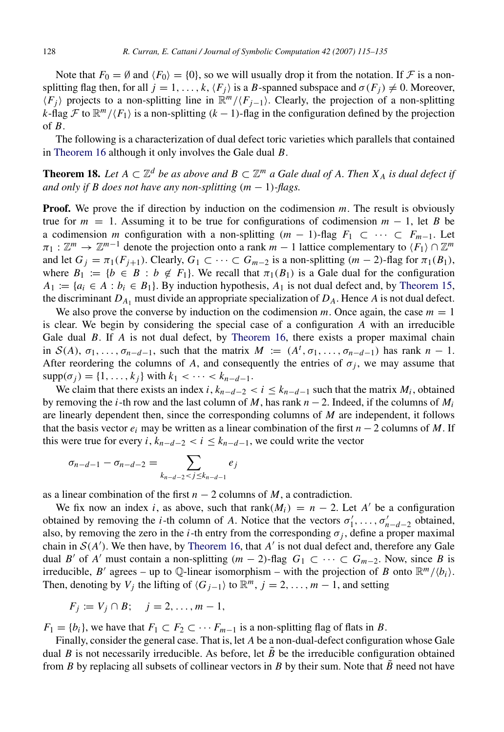Note that  $F_0 = \emptyset$  and  $\langle F_0 \rangle = \{0\}$ , so we will usually drop it from the notation. If F is a nonsplitting flag then, for all  $j = 1, ..., k, \langle F_i \rangle$  is a *B*-spanned subspace and  $\sigma(F_i) \neq 0$ . Moreover,  $\langle F_j \rangle$  projects to a non-splitting line in  $\mathbb{R}^m/\langle F_{j-1} \rangle$ . Clearly, the projection of a non-splitting *k*-flag  $\mathcal F$  to  $\mathbb{R}^m/\langle F_1 \rangle$  is a non-splitting (*k* − 1)-flag in the configuration defined by the projection of *B*.

The following is a characterization of dual defect toric varieties which parallels that contained in [Theorem](#page-12-1) [16](#page-12-1) although it only involves the Gale dual *B*.

<span id="page-13-0"></span>**Theorem 18.** Let  $A \subset \mathbb{Z}^d$  be as above and  $B \subset \mathbb{Z}^m$  a Gale dual of A. Then  $X_A$  is dual defect if *and only if B does not have any non-splitting*  $(m - 1)$ *-flags.* 

**Proof.** We prove the if direction by induction on the codimension *m*. The result is obviously true for  $m = 1$ . Assuming it to be true for configurations of codimension  $m - 1$ , let *B* be a codimension *m* configuration with a non-splitting  $(m - 1)$ -flag  $F_1 \subset \cdots \subset F_{m-1}$ . Let  $\pi_1 : \mathbb{Z}^m \to \mathbb{Z}^{m-1}$  denote the projection onto a rank  $m-1$  lattice complementary to  $\langle F_1 \rangle \cap \mathbb{Z}^m$ and let  $G_i = \pi_1(F_{i+1})$ . Clearly,  $G_1 \subset \cdots \subset G_{m-2}$  is a non-splitting  $(m-2)$ -flag for  $\pi_1(B_1)$ , where  $B_1 := \{b \in B : b \notin F_1\}$ . We recall that  $\pi_1(B_1)$  is a Gale dual for the configuration  $A_1 := \{a_i \in A : b_i \in B_1\}$ . By induction hypothesis,  $A_1$  is not dual defect and, by [Theorem](#page-11-0) [15,](#page-11-0) the discriminant  $D_{A_1}$  must divide an appropriate specialization of  $D_A$ . Hence  $A$  is not dual defect.

We also prove the converse by induction on the codimension m. Once again, the case  $m = 1$ is clear. We begin by considering the special case of a configuration *A* with an irreducible Gale dual *B*. If *A* is not dual defect, by [Theorem](#page-12-1) [16,](#page-12-1) there exists a proper maximal chain in  $S(A)$ ,  $\sigma_1, \ldots, \sigma_{n-d-1}$ , such that the matrix  $M := (A^t, \sigma_1, \ldots, \sigma_{n-d-1})$  has rank  $n-1$ . After reordering the columns of *A*, and consequently the entries of  $\sigma_j$ , we may assume that  $supp(\sigma_i) = \{1, ..., k_i\}$  with  $k_1 < \cdots < k_{n-d-1}$ .

We claim that there exists an index *i*,  $k_{n-d-2} < i \leq k_{n-d-1}$  such that the matrix  $M_i$ , obtained by removing the *i*-th row and the last column of *M*, has rank  $n-2$ . Indeed, if the columns of  $M_i$ are linearly dependent then, since the corresponding columns of *M* are independent, it follows that the basis vector  $e_i$  may be written as a linear combination of the first  $n-2$  columns of M. If this were true for every *i*,  $k_{n-d-2} < i \leq k_{n-d-1}$ , we could write the vector

$$
\sigma_{n-d-1} - \sigma_{n-d-2} = \sum_{k_{n-d-2} < j \le k_{n-d-1}} e_j
$$

as a linear combination of the first  $n - 2$  columns of *M*, a contradiction.

We fix now an index *i*, as above, such that rank( $M_i$ ) =  $n - 2$ . Let  $A'$  be a configuration obtained by removing the *i*-th column of *A*. Notice that the vectors  $\sigma'_1, \ldots, \sigma'_{n-d-2}$  obtained, also, by removing the zero in the *i*-th entry from the corresponding  $\sigma_j$ , define a proper maximal chain in  $S(A')$ . We then have, by [Theorem](#page-12-1) [16,](#page-12-1) that  $A'$  is not dual defect and, therefore any Gale dual *B'* of *A'* must contain a non-splitting  $(m - 2)$ -flag  $G_1 \subset \cdots \subset G_{m-2}$ . Now, since *B* is irreducible, *B'* agrees – up to Q-linear isomorphism – with the projection of *B* onto  $\mathbb{R}^m/\langle b_i \rangle$ . Then, denoting by *V<sub>j</sub>* the lifting of  $\langle G_{j-1} \rangle$  to  $\mathbb{R}^m$ ,  $j = 2, ..., m-1$ , and setting

$$
F_j := V_j \cap B; \quad j = 2, \ldots, m-1,
$$

 $F_1 = \{b_i\}$ , we have that  $F_1 \subset F_2 \subset \cdots F_{m-1}$  is a non-splitting flag of flats in *B*.

Finally, consider the general case. That is, let *A* be a non-dual-defect configuration whose Gale dual  $B$  is not necessarily irreducible. As before, let  $B$  be the irreducible configuration obtained from *B* by replacing all subsets of collinear vectors in *B* by their sum. Note that *B* need not have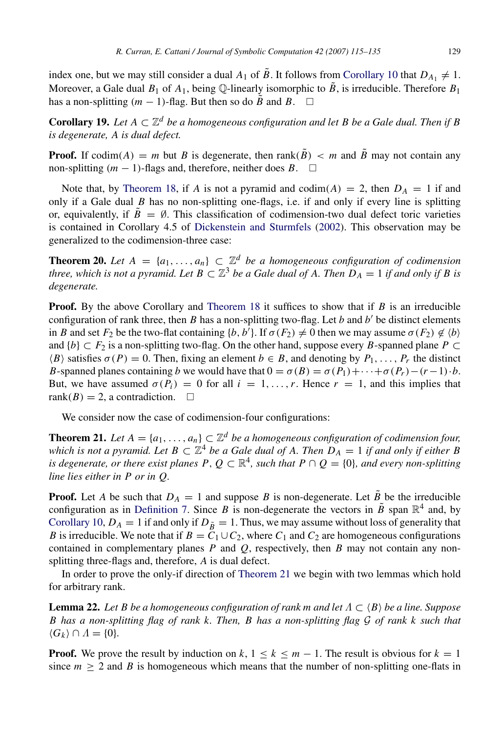index one, but we may still consider a dual  $A_1$  of  $\tilde{B}$ . It follows from [Corollary](#page-7-3) [10](#page-7-3) that  $D_{A_1} \neq 1$ . Moreover, a Gale dual  $B_1$  of  $A_1$ , being  $\mathbb{Q}$ -linearly isomorphic to  $\tilde{B}_1$  is irreducible. Therefore  $B_1$ has a non-splitting  $(m - 1)$ -flag. But then so do  $\tilde{B}$  and *B*. □

**Corollary 19.** Let  $A \subset \mathbb{Z}^d$  be a homogeneous configuration and let B be a Gale dual. Then if B *is degenerate, A is dual defect.*

**Proof.** If codim(*A*) = *m* but *B* is degenerate, then rank( $\tilde{B}$ ) < *m* and  $\tilde{B}$  may not contain any non-splitting  $(m − 1)$ -flags and, therefore, neither does *B*.  $□$ 

Note that, by [Theorem](#page-13-0) [18,](#page-13-0) if *A* is not a pyramid and codim(*A*) = 2, then  $D_A = 1$  if and only if a Gale dual *B* has no non-splitting one-flags, i.e. if and only if every line is splitting or, equivalently, if  $\tilde{B} = \emptyset$ . This classification of codimension-two dual defect toric varieties is contained in Corollary 4.5 of [Dickenstein and Sturmfels](#page-20-4) [\(2002\)](#page-20-4). This observation may be generalized to the codimension-three case:

<span id="page-14-0"></span>**Theorem 20.** Let  $A = \{a_1, \ldots, a_n\} \subset \mathbb{Z}^d$  be a homogeneous configuration of codimension *three, which is not a pyramid. Let*  $B \subset \mathbb{Z}^3$  *be a Gale dual of A. Then*  $D_A = 1$  *if and only if B is degenerate.*

**Proof.** By the above Corollary and [Theorem](#page-13-0) [18](#page-13-0) it suffices to show that if *B* is an irreducible configuration of rank three, then  $B$  has a non-splitting two-flag. Let  $b$  and  $b'$  be distinct elements in *B* and set  $F_2$  be the two-flat containing  $\{b, b'\}$ . If  $\sigma(F_2) \neq 0$  then we may assume  $\sigma(F_2) \notin \{b\}$ and  ${b} \subset F_2$  is a non-splitting two-flag. On the other hand, suppose every *B*-spanned plane *P* ⊂  $\langle B \rangle$  satisfies  $\sigma(P) = 0$ . Then, fixing an element  $b \in B$ , and denoting by  $P_1, \ldots, P_r$  the distinct *B*-spanned planes containing *b* we would have that  $0 = \sigma(B) = \sigma(P_1) + \cdots + \sigma(P_r) - (r-1) \cdot b$ . But, we have assumed  $\sigma(P_i) = 0$  for all  $i = 1, \ldots, r$ . Hence  $r = 1$ , and this implies that rank( $B$ ) = 2, a contradiction.  $\square$ 

We consider now the case of codimension-four configurations:

<span id="page-14-1"></span>**Theorem 21.** Let  $A = \{a_1, \ldots, a_n\} \subset \mathbb{Z}^d$  be a homogeneous configuration of codimension four, which is not a pyramid. Let  $B \subset \mathbb{Z}^4$  be a Gale dual of A. Then  $D_A = 1$  if and only if either  $B$ *is degenerate, or there exist planes*  $P, Q \subset \mathbb{R}^4$ , such that  $P \cap Q = \{0\}$ , and every non-splitting *line lies either in P or in Q.*

**Proof.** Let *A* be such that  $D_A = 1$  and suppose *B* is non-degenerate. Let  $\tilde{B}$  be the irreducible configuration as in [Definition](#page-7-4) [7.](#page-7-4) Since *B* is non-degenerate the vectors in  $\tilde{B}$  span  $\mathbb{R}^4$  and, by [Corollary](#page-7-3) [10,](#page-7-3)  $D_A = 1$  if and only if  $D_{\tilde{B}} = 1$ . Thus, we may assume without loss of generality that *B* is irreducible. We note that if  $B = C_1 \cup C_2$ , where  $C_1$  and  $C_2$  are homogeneous configurations contained in complementary planes *P* and *Q*, respectively, then *B* may not contain any nonsplitting three-flags and, therefore, *A* is dual defect.

In order to prove the only-if direction of [Theorem](#page-14-1) [21](#page-14-1) we begin with two lemmas which hold for arbitrary rank.

<span id="page-14-2"></span>**Lemma 22.** Let B be a homogeneous configuration of rank m and let  $\Lambda \subset \langle B \rangle$  be a line. Suppose *B has a non-splitting flag of rank k. Then, B has a non-splitting flag* G *of rank k such that*  $\langle G_k \rangle \cap A = \{0\}.$ 

**Proof.** We prove the result by induction on  $k$ ,  $1 \le k \le m - 1$ . The result is obvious for  $k = 1$ since  $m \ge 2$  and *B* is homogeneous which means that the number of non-splitting one-flats in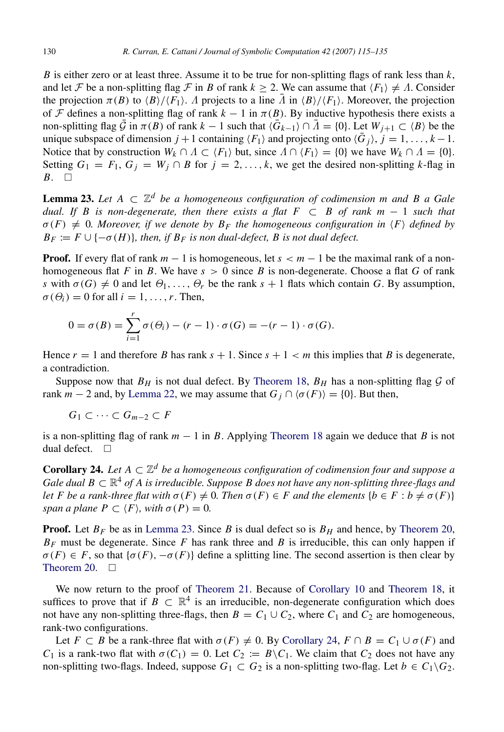*B* is either zero or at least three. Assume it to be true for non-splitting flags of rank less than  $k$ , and let F be a non-splitting flag F in B of rank  $k \ge 2$ . We can assume that  $\langle F_1 \rangle \neq \Lambda$ . Consider the projection  $\pi(B)$  to  $\langle B \rangle / \langle F_1 \rangle$ . *Λ* projects to a line  $\overline{A}$  in  $\langle B \rangle / \langle F_1 \rangle$ . Moreover, the projection of F defines a non-splitting flag of rank  $k - 1$  in  $\pi(B)$ . By inductive hypothesis there exists a non-splitting flag  $\bar{G}$  in  $\pi(B)$  of rank  $k-1$  such that  $\langle \bar{G}_{k-1} \rangle \cap \bar{A} = \{0\}$ . Let  $W_{j+1} \subset \langle B \rangle$  be the unique subspace of dimension  $j + 1$  containing  $\langle F_1 \rangle$  and projecting onto  $\langle \bar{G}_j \rangle$ ,  $j = 1, ..., k - 1$ . Notice that by construction  $W_k \cap A \subset \langle F_1 \rangle$  but, since  $A \cap \langle F_1 \rangle = \{0\}$  we have  $W_k \cap A = \{0\}$ . Setting  $G_1 = F_1, G_j = W_j \cap B$  for  $j = 2, ..., k$ , we get the desired non-splitting *k*-flag in  $B. \square$ 

<span id="page-15-0"></span>Lemma 23. *Let A* ⊂ Z *<sup>d</sup> be a homogeneous configuration of codimension m and B a Gale dual. If B is non-degenerate, then there exists a flat F* ⊂ *B of rank m* − 1 *such that*  $\sigma(F) \neq 0$ . Moreover, if we denote by  $B_F$  the homogeneous configuration in  $\langle F \rangle$  defined by  $B_F := F \cup \{-\sigma(H)\}\$ , then, if  $B_F$  is non dual-defect, B is not dual defect.

**Proof.** If every flat of rank  $m - 1$  is homogeneous, let  $s < m - 1$  be the maximal rank of a nonhomogeneous flat *F* in *B*. We have  $s > 0$  since *B* is non-degenerate. Choose a flat *G* of rank *s* with  $\sigma(G) \neq 0$  and let  $\Theta_1, \ldots, \Theta_r$  be the rank  $s + 1$  flats which contain *G*. By assumption,  $\sigma(\Theta_i) = 0$  for all  $i = 1, \ldots, r$ . Then,

$$
0 = \sigma(B) = \sum_{i=1}^r \sigma(\Theta_i) - (r-1) \cdot \sigma(G) = -(r-1) \cdot \sigma(G).
$$

Hence  $r = 1$  and therefore *B* has rank  $s + 1$ . Since  $s + 1 < m$  this implies that *B* is degenerate, a contradiction.

Suppose now that  $B_H$  is not dual defect. By [Theorem](#page-13-0) [18,](#page-13-0)  $B_H$  has a non-splitting flag  $\mathcal G$  of rank  $m - 2$  and, by [Lemma](#page-14-2) [22,](#page-14-2) we may assume that  $G_i \cap \langle \sigma(F) \rangle = \{0\}$ . But then,

$$
G_1\subset\cdots\subset G_{m-2}\subset F
$$

is a non-splitting flag of rank  $m - 1$  in *B*. Applying [Theorem](#page-13-0) [18](#page-13-0) again we deduce that *B* is not dual defect.  $\square$ 

<span id="page-15-1"></span>**Corollary 24.** Let  $A \subset \mathbb{Z}^d$  be a homogeneous configuration of codimension four and suppose a Gale dual  $B\subset \mathbb{R}^4$  of A is irreducible. Suppose B does not have any non-splitting three-flags and *let F* be a rank-three flat with  $\sigma(F) \neq 0$ . Then  $\sigma(F) \in F$  and the elements  $\{b \in F : b \neq \sigma(F)\}$ *span a plane*  $P \subset \langle F \rangle$ *, with*  $\sigma(P) = 0$ *.* 

**Proof.** Let  $B_F$  be as in [Lemma](#page-15-0) [23.](#page-15-0) Since *B* is dual defect so is  $B_H$  and hence, by [Theorem](#page-14-0) [20,](#page-14-0)  $B_F$  must be degenerate. Since  $F$  has rank three and  $B$  is irreducible, this can only happen if  $\sigma(F) \in F$ , so that  $\{\sigma(F), -\sigma(F)\}$  define a splitting line. The second assertion is then clear by [Theorem](#page-14-0) [20.](#page-14-0)  $\square$ 

We now return to the proof of [Theorem](#page-14-1) [21.](#page-14-1) Because of [Corollary](#page-7-3) [10](#page-7-3) and [Theorem](#page-13-0) [18,](#page-13-0) it suffices to prove that if  $B \subset \mathbb{R}^4$  is an irreducible, non-degenerate configuration which does not have any non-splitting three-flags, then  $B = C_1 \cup C_2$ , where  $C_1$  and  $C_2$  are homogeneous, rank-two configurations.

Let *F*  $\subset$  *B* be a rank-three flat with  $\sigma(F) \neq 0$ . By [Corollary](#page-15-1) [24,](#page-15-1)  $F \cap B = C_1 \cup \sigma(F)$  and *C*<sub>1</sub> is a rank-two flat with  $\sigma(C_1) = 0$ . Let  $C_2 := B \setminus C_1$ . We claim that  $C_2$  does not have any non-splitting two-flags. Indeed, suppose  $G_1 \subset G_2$  is a non-splitting two-flag. Let  $b \in C_1 \backslash G_2$ .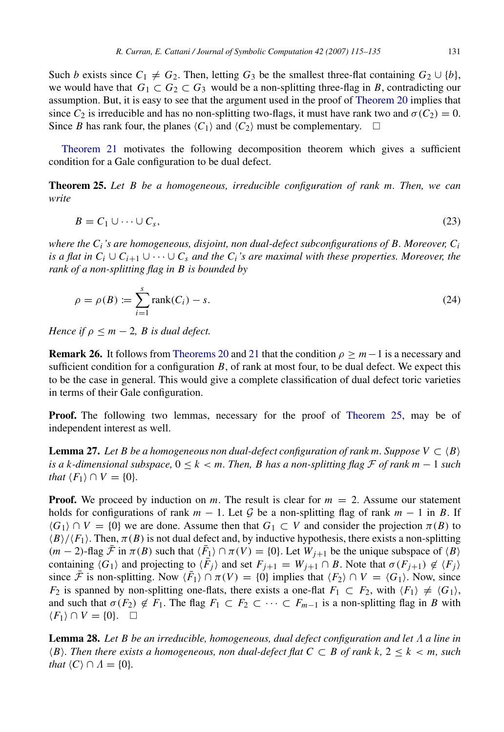Such *b* exists since  $C_1 \neq G_2$ . Then, letting  $G_3$  be the smallest three-flat containing  $G_2 \cup \{b\}$ , we would have that  $G_1 \subset G_2 \subset G_3$  would be a non-splitting three-flag in *B*, contradicting our assumption. But, it is easy to see that the argument used in the proof of [Theorem](#page-14-0) [20](#page-14-0) implies that since  $C_2$  is irreducible and has no non-splitting two-flags, it must have rank two and  $\sigma(C_2) = 0$ . Since *B* has rank four, the planes  $\langle C_1 \rangle$  and  $\langle C_2 \rangle$  must be complementary.  $\Box$ 

[Theorem](#page-14-1) [21](#page-14-1) motivates the following decomposition theorem which gives a sufficient condition for a Gale configuration to be dual defect.

<span id="page-16-1"></span><span id="page-16-0"></span>Theorem 25. *Let B be a homogeneous, irreducible configuration of rank m. Then, we can write*

$$
B = C_1 \cup \dots \cup C_s,\tag{23}
$$

*where the Ci's are homogeneous, disjoint, non dual-defect subconfigurations of B. Moreover, C<sup>i</sup> is a flat in*  $C_i \cup C_{i+1} \cup \cdots \cup C_s$  *and the*  $C_i$ *'s are maximal with these properties. Moreover, the rank of a non-splitting flag in B is bounded by*

<span id="page-16-3"></span>
$$
\rho = \rho(B) := \sum_{i=1}^{s} \text{rank}(C_i) - s.
$$
 (24)

*Hence if*  $\rho \leq m - 2$ *, B is dual defect.* 

**Remark 26.** It follows from [Theorems](#page-14-0) [20](#page-14-0) and [21](#page-14-1) that the condition  $\rho > m-1$  is a necessary and sufficient condition for a configuration *B*, of rank at most four, to be dual defect. We expect this to be the case in general. This would give a complete classification of dual defect toric varieties in terms of their Gale configuration.

Proof. The following two lemmas, necessary for the proof of [Theorem](#page-16-0) [25,](#page-16-0) may be of independent interest as well.

**Lemma 27.** Let B be a homogeneous non dual-defect configuration of rank m. Suppose  $V \subset \langle B \rangle$ *is a k-dimensional subspace,*  $0 \le k < m$ . Then, *B* has a non-splitting flag *F* of rank *m* − 1 *such that*  $\langle F_1 \rangle \cap V = \{0\}$ *.* 

**Proof.** We proceed by induction on *m*. The result is clear for  $m = 2$ . Assume our statement holds for configurations of rank  $m - 1$ . Let G be a non-splitting flag of rank  $m - 1$  in B. If  $\langle G_1 \rangle \cap V = \{0\}$  we are done. Assume then that  $G_1 \subset V$  and consider the projection  $\pi(B)$  to  $\langle B \rangle / \langle F_1 \rangle$ . Then,  $\pi(B)$  is not dual defect and, by inductive hypothesis, there exists a non-splitting  $(m-2)$ -flag  $\overline{\mathcal{F}}$  in  $\pi(B)$  such that  $\langle \overline{F_1} \rangle \cap \pi(V) = \{0\}$ . Let  $W_{j+1}$  be the unique subspace of  $\langle B \rangle$ containing  $\langle G_1 \rangle$  and projecting to  $\langle \overline{F}_j \rangle$  and set  $F_{j+1} = W_{j+1} \cap B$ . Note that  $\sigma(F_{j+1}) \notin \langle F_j \rangle$ since  $\bar{\mathcal{F}}$  is non-splitting. Now  $\langle \bar{F}_1 \rangle \cap \pi(V) = \{0\}$  implies that  $\langle F_2 \rangle \cap V = \langle G_1 \rangle$ . Now, since *F*<sub>2</sub> is spanned by non-splitting one-flats, there exists a one-flat  $F_1 \subset F_2$ , with  $\langle F_1 \rangle \neq \langle G_1 \rangle$ , and such that  $\sigma(F_2) \notin F_1$ . The flag  $F_1 \subset F_2 \subset \cdots \subset F_{m-1}$  is a non-splitting flag in *B* with  $\langle F_1 \rangle$  ∩  $V = \{0\}$ . □

<span id="page-16-2"></span>Lemma 28. *Let B be an irreducible, homogeneous, dual defect configuration and let* Λ *a line in*  $\langle B \rangle$ *. Then there exists a homogeneous, non dual-defect flat*  $C \subset B$  *of rank k,*  $2 \leq k < m$ *, such that*  $\langle C \rangle \cap \Lambda = \{0\}.$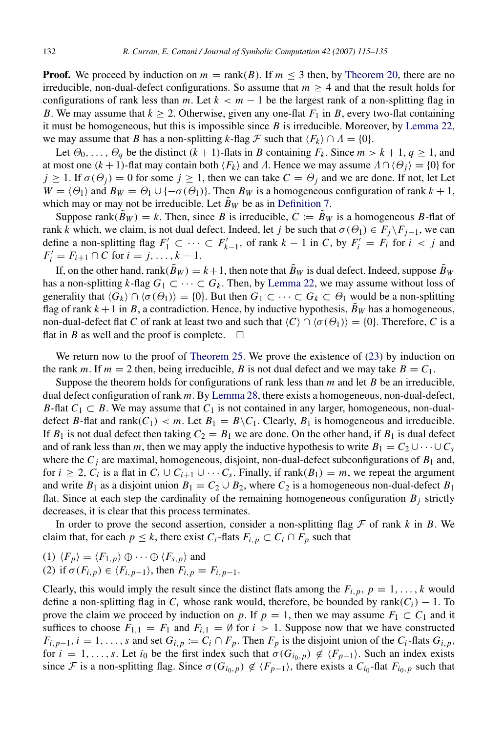**Proof.** We proceed by induction on  $m = \text{rank}(B)$ . If  $m \leq 3$  then, by [Theorem](#page-14-0) [20,](#page-14-0) there are no irreducible, non-dual-defect configurations. So assume that  $m \geq 4$  and that the result holds for configurations of rank less than *m*. Let  $k < m - 1$  be the largest rank of a non-splitting flag in *B*. We may assume that  $k \ge 2$ . Otherwise, given any one-flat  $F_1$  in *B*, every two-flat containing it must be homogeneous, but this is impossible since *B* is irreducible. Moreover, by [Lemma](#page-14-2) [22,](#page-14-2) we may assume that *B* has a non-splitting *k*-flag  $\mathcal F$  such that  $\langle F_k \rangle \cap \Lambda = \{0\}.$ 

Let  $\Theta_0, \ldots, \Theta_q$  be the distinct  $(k+1)$ -flats in *B* containing  $F_k$ . Since  $m > k+1, q \ge 1$ , and at most one  $(k + 1)$ -flat may contain both  $\langle F_k \rangle$  and Λ. Hence we may assume  $\Lambda \cap (\Theta_i) = \{0\}$  for  $j \ge 1$ . If  $\sigma(\Theta_i) = 0$  for some  $j \ge 1$ , then we can take  $C = \Theta_j$  and we are done. If not, let Let  $W = \langle \Theta_1 \rangle$  and  $B_W = \Theta_1 \cup \{-\sigma(\Theta_1)\}\.$  Then  $B_W$  is a homogeneous configuration of rank  $k + 1$ , which may or may not be irreducible. Let  $B_W$  be as in [Definition](#page-7-4) [7.](#page-7-4)

Suppose rank $(\bar{B}_W) = k$ . Then, since *B* is irreducible,  $C := \tilde{B}_W$  is a homogeneous *B*-flat of rank *k* which, we claim, is not dual defect. Indeed, let *j* be such that  $\sigma(\Theta_1) \in F_i \backslash F_{i-1}$ , we can define a non-splitting flag  $F'_1$  ⊂ · · · ⊂  $F'_{k-1}$ , of rank  $k-1$  in *C*, by  $F'_i = F_i$  for  $i < j$  and  $F'_{i} = F_{i+1} \cap C$  for  $i = j, ..., k-1$ .

If, on the other hand, rank( $\tilde{B}_W$ ) =  $k+1$ , then note that  $\tilde{B}_W$  is dual defect. Indeed, suppose  $\tilde{B}_W$ has a non-splitting *k*-flag  $G_1 \subset \cdots \subset G_k$ . Then, by [Lemma](#page-14-2) [22,](#page-14-2) we may assume without loss of generality that  $\langle G_k \rangle \cap \langle \sigma(\Theta_1) \rangle = \{0\}$ . But then  $G_1 \subset \cdots \subset G_k \subset \Theta_1$  would be a non-splitting flag of rank  $k + 1$  in *B*, a contradiction. Hence, by inductive hypothesis,  $\tilde{B}_W$  has a homogeneous, non-dual-defect flat *C* of rank at least two and such that  $\langle C \rangle \cap \langle \sigma(\Theta_1) \rangle = \{0\}$ . Therefore, *C* is a flat in *B* as well and the proof is complete.  $\Box$ 

We return now to the proof of [Theorem](#page-16-0) [25.](#page-16-0) We prove the existence of [\(23\)](#page-16-1) by induction on the rank *m*. If  $m = 2$  then, being irreducible, *B* is not dual defect and we may take  $B = C_1$ .

Suppose the theorem holds for configurations of rank less than *m* and let *B* be an irreducible, dual defect configuration of rank *m*. By [Lemma](#page-16-2) [28,](#page-16-2) there exists a homogeneous, non-dual-defect, *B*-flat  $C_1 \subset B$ . We may assume that  $C_1$  is not contained in any larger, homogeneous, non-dualdefect *B*-flat and rank( $C_1$ ) < *m*. Let  $B_1 = B \setminus C_1$ . Clearly,  $B_1$  is homogeneous and irreducible. If  $B_1$  is not dual defect then taking  $C_2 = B_1$  we are done. On the other hand, if  $B_1$  is dual defect and of rank less than *m*, then we may apply the inductive hypothesis to write  $B_1 = C_2 \cup \cdots \cup C_s$ where the  $C_j$  are maximal, homogeneous, disjoint, non-dual-defect subconfigurations of  $B_1$  and, for  $i \geq 2$ ,  $C_i$  is a flat in  $C_i \cup C_{i+1} \cup \cdots C_s$ . Finally, if rank $(B_1) = m$ , we repeat the argument and write  $B_1$  as a disjoint union  $B_1 = C_2 \cup B_2$ , where  $C_2$  is a homogeneous non-dual-defect  $B_1$ flat. Since at each step the cardinality of the remaining homogeneous configuration  $B_j$  strictly decreases, it is clear that this process terminates.

In order to prove the second assertion, consider a non-splitting flag  $\mathcal F$  of rank  $k$  in  $B$ . We claim that, for each  $p \leq k$ , there exist  $C_i$ -flats  $F_{i,p} \subset C_i \cap F_p$  such that

(1)  $\langle F_p \rangle = \langle F_{1,p} \rangle \oplus \cdots \oplus \langle F_{s,p} \rangle$  and (2) if  $\sigma(F_{i,p}) \in \langle F_{i,p-1} \rangle$ , then  $F_{i,p} = F_{i,p-1}$ .

Clearly, this would imply the result since the distinct flats among the  $F_{i,p}$ ,  $p = 1, \ldots, k$  would define a non-splitting flag in  $C_i$  whose rank would, therefore, be bounded by rank( $C_i$ ) – 1. To prove the claim we proceed by induction on *p*. If  $p = 1$ , then we may assume  $F_1 \subset C_1$  and it suffices to choose  $F_{1,1} = F_1$  and  $F_{i,1} = \emptyset$  for  $i > 1$ . Suppose now that we have constructed  $F_{i,p-1}$ ,  $i = 1, \ldots, s$  and set  $G_{i,p} := C_i \cap F_p$ . Then  $F_p$  is the disjoint union of the  $C_i$ -flats  $G_{i,p}$ , for  $i = 1, \ldots, s$ . Let  $i_0$  be the first index such that  $\sigma(G_{i_0, p}) \notin \langle F_{p-1} \rangle$ . Such an index exists since F is a non-splitting flag. Since  $\sigma(G_{i_0,p}) \notin \langle F_{p-1} \rangle$ , there exists a  $C_{i_0}$ -flat  $F_{i_0,p}$  such that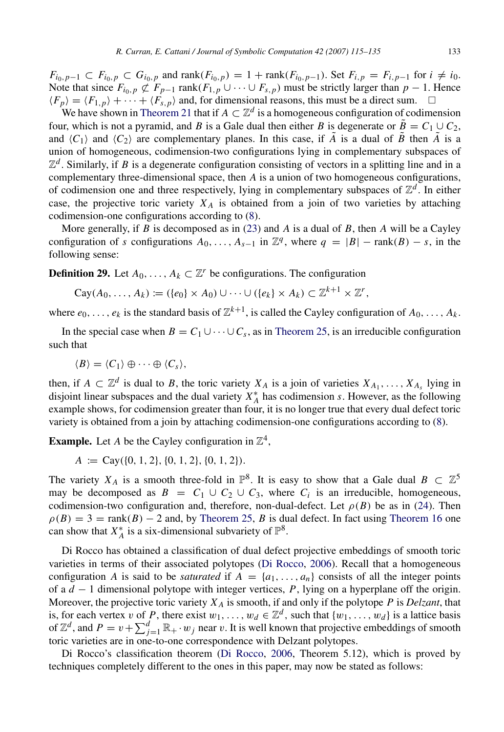$F_{i_0,p-1} \subset F_{i_0,p} \subset G_{i_0,p}$  and rank $(F_{i_0,p}) = 1 + \text{rank}(F_{i_0,p-1})$ . Set  $F_{i,p} = F_{i,p-1}$  for  $i \neq i_0$ . Note that since  $F_{i_0,p} \not\subset F_{p-1}$  rank( $F_{1,p} \cup \cdots \cup F_{s,p}$ ) must be strictly larger than  $p-1$ . Hence  $\langle F_p \rangle = \langle F_{1,p} \rangle + \cdots + \langle F_{s,p} \rangle$  and, for dimensional reasons, this must be a direct sum.  $\Box$ 

We have shown in [Theorem](#page-14-1) [21](#page-14-1) that if  $A \subset \mathbb{Z}^d$  is a homogeneous configuration of codimension four, which is not a pyramid, and *B* is a Gale dual then either *B* is degenerate or  $\tilde{B} = C_1 \cup C_2$ , and  $\langle C_1 \rangle$  and  $\langle C_2 \rangle$  are complementary planes. In this case, if  $\tilde{A}$  is a dual of  $\tilde{B}$  then  $\tilde{A}$  is a union of homogeneous, codimension-two configurations lying in complementary subspaces of  $\mathbb{Z}^d$ . Similarly, if *B* is a degenerate configuration consisting of vectors in a splitting line and in a complementary three-dimensional space, then *A* is a union of two homogeneous configurations, of codimension one and three respectively, lying in complementary subspaces of  $\mathbb{Z}^d$ . In either case, the projective toric variety  $X_A$  is obtained from a join of two varieties by attaching codimension-one configurations according to [\(8\)](#page-4-0).

More generally, if *B* is decomposed as in [\(23\)](#page-16-1) and *A* is a dual of *B*, then *A* will be a Cayley configuration of *s* configurations  $A_0, \ldots, A_{s-1}$  in  $\mathbb{Z}^q$ , where  $q = |B| - \text{rank}(B) - s$ , in the following sense:

**Definition 29.** Let  $A_0, \ldots, A_k \subset \mathbb{Z}^r$  be configurations. The configuration

$$
\mathrm{Cay}(A_0,\ldots,A_k):=(\{e_0\}\times A_0)\cup\cdots\cup(\{e_k\}\times A_k)\subset\mathbb{Z}^{k+1}\times\mathbb{Z}^r,
$$

where  $e_0, \ldots, e_k$  is the standard basis of  $\mathbb{Z}^{k+1}$ , is called the Cayley configuration of  $A_0, \ldots, A_k$ .

In the special case when  $B = C_1 \cup \cdots \cup C_s$ , as in [Theorem](#page-16-0) [25,](#page-16-0) is an irreducible configuration such that

 $\langle B \rangle = \langle C_1 \rangle \oplus \cdots \oplus \langle C_s \rangle,$ 

then, if  $A \subset \mathbb{Z}^d$  is dual to *B*, the toric variety  $X_A$  is a join of varieties  $X_{A_1}, \ldots, X_{A_s}$  lying in disjoint linear subspaces and the dual variety  $X_A^*$  has codimension *s*. However, as the following example shows, for codimension greater than four, it is no longer true that every dual defect toric variety is obtained from a join by attaching codimension-one configurations according to [\(8\)](#page-4-0).

**Example.** Let *A* be the Cayley configuration in  $\mathbb{Z}^4$ ,

 $A := \text{Cay}(\{0, 1, 2\}, \{0, 1, 2\}, \{0, 1, 2\}).$ 

The variety  $X_A$  is a smooth three-fold in  $\mathbb{P}^8$ . It is easy to show that a Gale dual  $B \subset \mathbb{Z}^5$ may be decomposed as  $B = C_1 \cup C_2 \cup C_3$ , where  $C_i$  is an irreducible, homogeneous, codimension-two configuration and, therefore, non-dual-defect. Let  $\rho(B)$  be as in [\(24\)](#page-16-3). Then  $\rho(B) = 3 = \text{rank}(B) - 2$  and, by [Theorem](#page-12-1) [25,](#page-16-0) *B* is dual defect. In fact using Theorem [16](#page-12-1) one can show that  $X_A^*$  is a six-dimensional subvariety of  $\mathbb{P}^8$ .

Di Rocco has obtained a classification of dual defect projective embeddings of smooth toric varieties in terms of their associated polytopes [\(Di Rocco,](#page-20-7) [2006\)](#page-20-7). Recall that a homogeneous configuration *A* is said to be *saturated* if  $A = \{a_1, \ldots, a_n\}$  consists of all the integer points of a *d* − 1 dimensional polytope with integer vertices, *P*, lying on a hyperplane off the origin. Moreover, the projective toric variety  $X_A$  is smooth, if and only if the polytope P is *Delzant*, that is, for each vertex v of P, there exist  $w_1, \ldots, w_d \in \mathbb{Z}^d$ , such that  $\{w_1, \ldots, w_d\}$  is a lattice basis of  $\mathbb{Z}^d$ , and  $P = v + \sum_{j=1}^d \mathbb{R}_+ \cdot w_j$  near v. It is well known that projective embeddings of smooth toric varieties are in one-to-one correspondence with Delzant polytopes.

<span id="page-18-0"></span>Di Rocco's classification theorem [\(Di Rocco,](#page-20-7) [2006,](#page-20-7) Theorem 5.12), which is proved by techniques completely different to the ones in this paper, may now be stated as follows: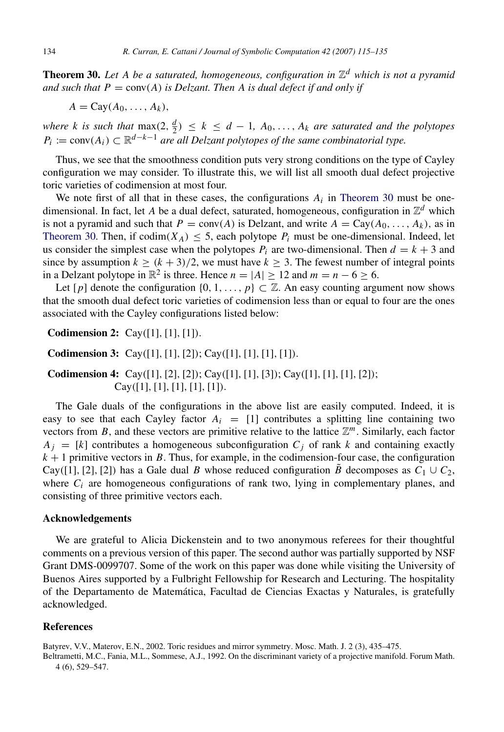Theorem 30. *Let A be a saturated, homogeneous, configuration in* Z *<sup>d</sup> which is not a pyramid* and such that  $P = \text{conv}(A)$  is Delzant. Then A is dual defect if and only if

$$
A = Cay(A_0, \ldots, A_k),
$$

*where k is such that*  $\max(2, \frac{d}{2}) \le k \le d - 1$ ,  $A_0, \ldots, A_k$  *are saturated and the polytopes*  $P_i := \text{conv}(A_i) \subset \mathbb{R}^{d-k-1}$  *are all Delzant polytopes of the same combinatorial type.* 

Thus, we see that the smoothness condition puts very strong conditions on the type of Cayley configuration we may consider. To illustrate this, we will list all smooth dual defect projective toric varieties of codimension at most four.

We note first of all that in these cases, the configurations  $A_i$  in [Theorem](#page-18-0) [30](#page-18-0) must be onedimensional. In fact, let A be a dual defect, saturated, homogeneous, configuration in  $\mathbb{Z}^d$  which is not a pyramid and such that  $P = \text{conv}(A)$  is Delzant, and write  $A = \text{Cay}(A_0, \ldots, A_k)$ , as in [Theorem](#page-18-0) [30.](#page-18-0) Then, if  $codim(X_A) \leq 5$ , each polytope  $P_i$  must be one-dimensional. Indeed, let us consider the simplest case when the polytopes  $P_i$  are two-dimensional. Then  $d = k + 3$  and since by assumption  $k \ge (k + 3)/2$ , we must have  $k \ge 3$ . The fewest number of integral points in a Delzant polytope in  $\mathbb{R}^2$  is three. Hence  $n = |A| \ge 12$  and  $m = n - 6 \ge 6$ .

Let  $[p]$  denote the configuration  $\{0, 1, \ldots, p\} \subset \mathbb{Z}$ . An easy counting argument now shows that the smooth dual defect toric varieties of codimension less than or equal to four are the ones associated with the Cayley configurations listed below:

Codimension 2: Cay([1], [1], [1]).

**Codimension 3:** Cay([1], [1], [2]); Cay([1], [1], [1], [1]).

Codimension 4: Cay([1], [2], [2]); Cay([1], [1], [3]); Cay([1], [1], [1], [2]);  $Cay([1], [1], [1], [1], [1]).$ 

The Gale duals of the configurations in the above list are easily computed. Indeed, it is easy to see that each Cayley factor  $A_i = [1]$  contributes a splitting line containing two vectors from  $B$ , and these vectors are primitive relative to the lattice  $\mathbb{Z}^m$ . Similarly, each factor  $A_i = [k]$  contributes a homogeneous subconfiguration  $C_i$  of rank k and containing exactly  $k + 1$  primitive vectors in *B*. Thus, for example, in the codimension-four case, the configuration Cay([1], [2], [2]) has a Gale dual *B* whose reduced configuration *B* decomposes as  $C_1 \cup C_2$ , where  $C_i$  are homogeneous configurations of rank two, lying in complementary planes, and consisting of three primitive vectors each.

# Acknowledgements

We are grateful to Alicia Dickenstein and to two anonymous referees for their thoughtful comments on a previous version of this paper. The second author was partially supported by NSF Grant DMS-0099707. Some of the work on this paper was done while visiting the University of Buenos Aires supported by a Fulbright Fellowship for Research and Lecturing. The hospitality of the Departamento de Matematica, Facultad de Ciencias Exactas y Naturales, is gratefully ´ acknowledged.

#### References

<span id="page-19-0"></span>Batyrev, V.V., Materov, E.N., 2002. Toric residues and mirror symmetry. Mosc. Math. J. 2 (3), 435–475.

<span id="page-19-1"></span>Beltrametti, M.C., Fania, M.L., Sommese, A.J., 1992. On the discriminant variety of a projective manifold. Forum Math. 4 (6), 529–547.